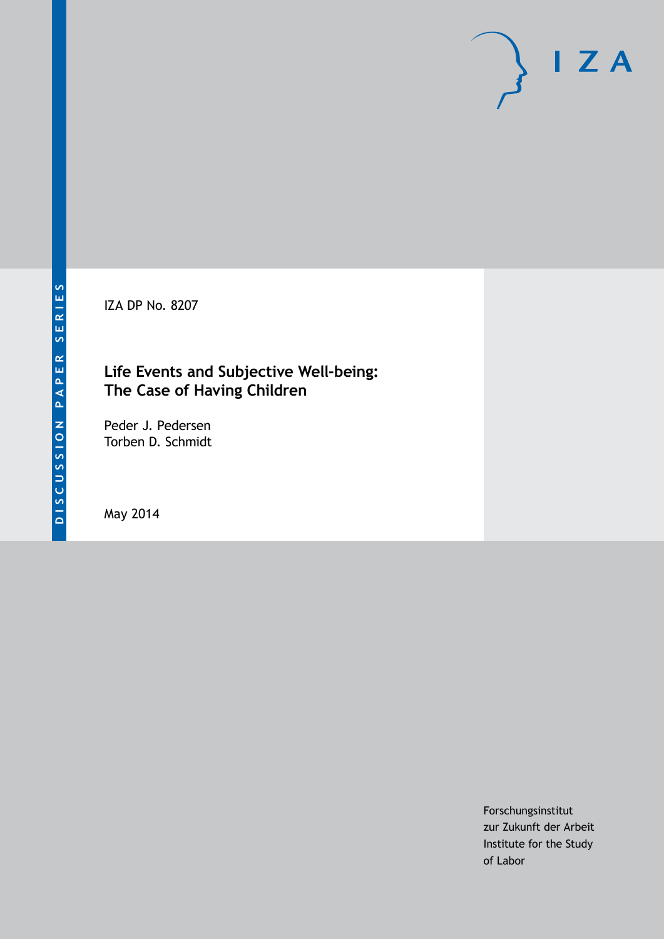IZA DP No. 8207

## **Life Events and Subjective Well-being: The Case of Having Children**

Peder J. Pedersen Torben D. Schmidt

May 2014

Forschungsinstitut zur Zukunft der Arbeit Institute for the Study of Labor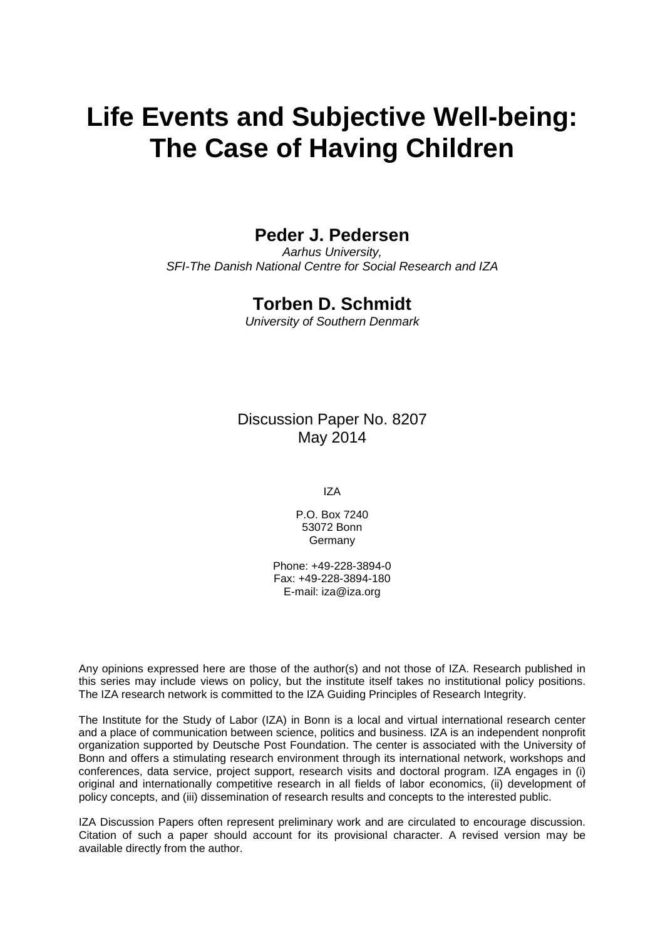# **Life Events and Subjective Well-being: The Case of Having Children**

### **Peder J. Pedersen**

*Aarhus University, SFI-The Danish National Centre for Social Research and IZA*

### **Torben D. Schmidt**

*University of Southern Denmark*

Discussion Paper No. 8207 May 2014

IZA

P.O. Box 7240 53072 Bonn Germany

Phone: +49-228-3894-0 Fax: +49-228-3894-180 E-mail: [iza@iza.org](mailto:iza@iza.org)

Any opinions expressed here are those of the author(s) and not those of IZA. Research published in this series may include views on policy, but the institute itself takes no institutional policy positions. The IZA research network is committed to the IZA Guiding Principles of Research Integrity.

The Institute for the Study of Labor (IZA) in Bonn is a local and virtual international research center and a place of communication between science, politics and business. IZA is an independent nonprofit organization supported by Deutsche Post Foundation. The center is associated with the University of Bonn and offers a stimulating research environment through its international network, workshops and conferences, data service, project support, research visits and doctoral program. IZA engages in (i) original and internationally competitive research in all fields of labor economics, (ii) development of policy concepts, and (iii) dissemination of research results and concepts to the interested public.

IZA Discussion Papers often represent preliminary work and are circulated to encourage discussion. Citation of such a paper should account for its provisional character. A revised version may be available directly from the author.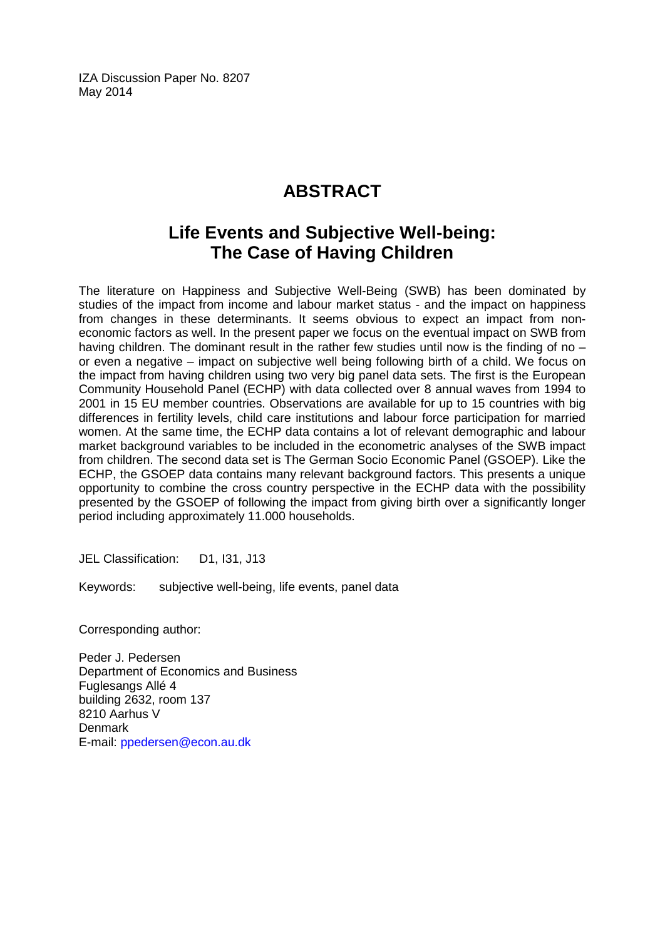IZA Discussion Paper No. 8207 May 2014

# **ABSTRACT**

# **Life Events and Subjective Well-being: The Case of Having Children**

The literature on Happiness and Subjective Well-Being (SWB) has been dominated by studies of the impact from income and labour market status - and the impact on happiness from changes in these determinants. It seems obvious to expect an impact from noneconomic factors as well. In the present paper we focus on the eventual impact on SWB from having children. The dominant result in the rather few studies until now is the finding of no – or even a negative – impact on subjective well being following birth of a child. We focus on the impact from having children using two very big panel data sets. The first is the European Community Household Panel (ECHP) with data collected over 8 annual waves from 1994 to 2001 in 15 EU member countries. Observations are available for up to 15 countries with big differences in fertility levels, child care institutions and labour force participation for married women. At the same time, the ECHP data contains a lot of relevant demographic and labour market background variables to be included in the econometric analyses of the SWB impact from children. The second data set is The German Socio Economic Panel (GSOEP). Like the ECHP, the GSOEP data contains many relevant background factors. This presents a unique opportunity to combine the cross country perspective in the ECHP data with the possibility presented by the GSOEP of following the impact from giving birth over a significantly longer period including approximately 11.000 households.

JEL Classification: D1, I31, J13

Keywords: subjective well-being, life events, panel data

Corresponding author:

Peder J. Pedersen Department of Economics and Business Fuglesangs Allé 4 building 2632, room 137 8210 Aarhus V **Denmark** E-mail: [ppedersen@econ.au.dk](mailto:ppedersen@econ.au.dk)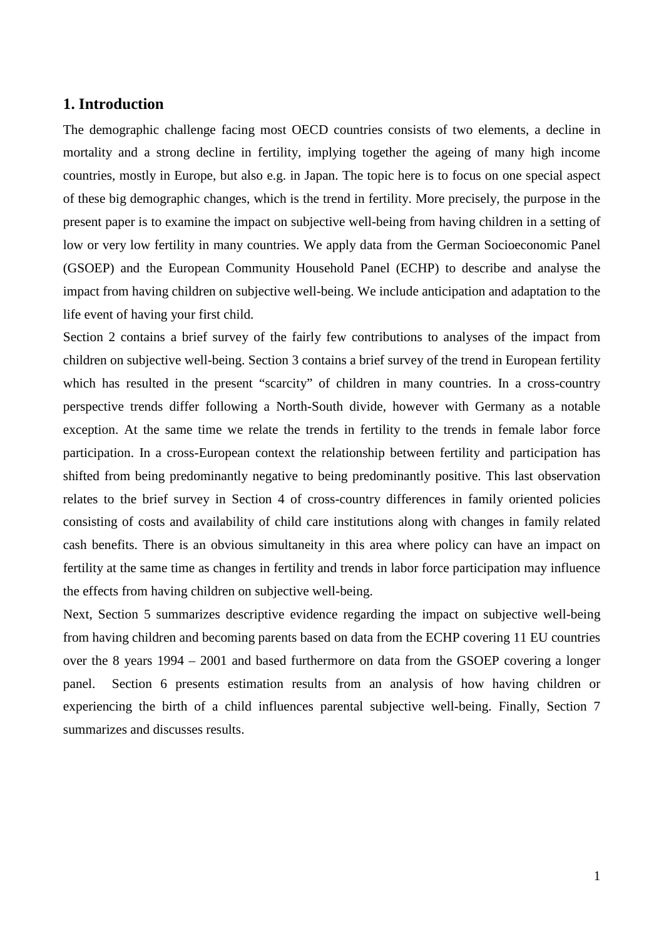### **1. Introduction**

The demographic challenge facing most OECD countries consists of two elements, a decline in mortality and a strong decline in fertility, implying together the ageing of many high income countries, mostly in Europe, but also e.g. in Japan. The topic here is to focus on one special aspect of these big demographic changes, which is the trend in fertility. More precisely, the purpose in the present paper is to examine the impact on subjective well-being from having children in a setting of low or very low fertility in many countries. We apply data from the German Socioeconomic Panel (GSOEP) and the European Community Household Panel (ECHP) to describe and analyse the impact from having children on subjective well-being. We include anticipation and adaptation to the life event of having your first child.

Section 2 contains a brief survey of the fairly few contributions to analyses of the impact from children on subjective well-being. Section 3 contains a brief survey of the trend in European fertility which has resulted in the present "scarcity" of children in many countries. In a cross-country perspective trends differ following a North-South divide, however with Germany as a notable exception. At the same time we relate the trends in fertility to the trends in female labor force participation. In a cross-European context the relationship between fertility and participation has shifted from being predominantly negative to being predominantly positive. This last observation relates to the brief survey in Section 4 of cross-country differences in family oriented policies consisting of costs and availability of child care institutions along with changes in family related cash benefits. There is an obvious simultaneity in this area where policy can have an impact on fertility at the same time as changes in fertility and trends in labor force participation may influence the effects from having children on subjective well-being.

Next, Section 5 summarizes descriptive evidence regarding the impact on subjective well-being from having children and becoming parents based on data from the ECHP covering 11 EU countries over the 8 years 1994 – 2001 and based furthermore on data from the GSOEP covering a longer panel. Section 6 presents estimation results from an analysis of how having children or experiencing the birth of a child influences parental subjective well-being. Finally, Section 7 summarizes and discusses results.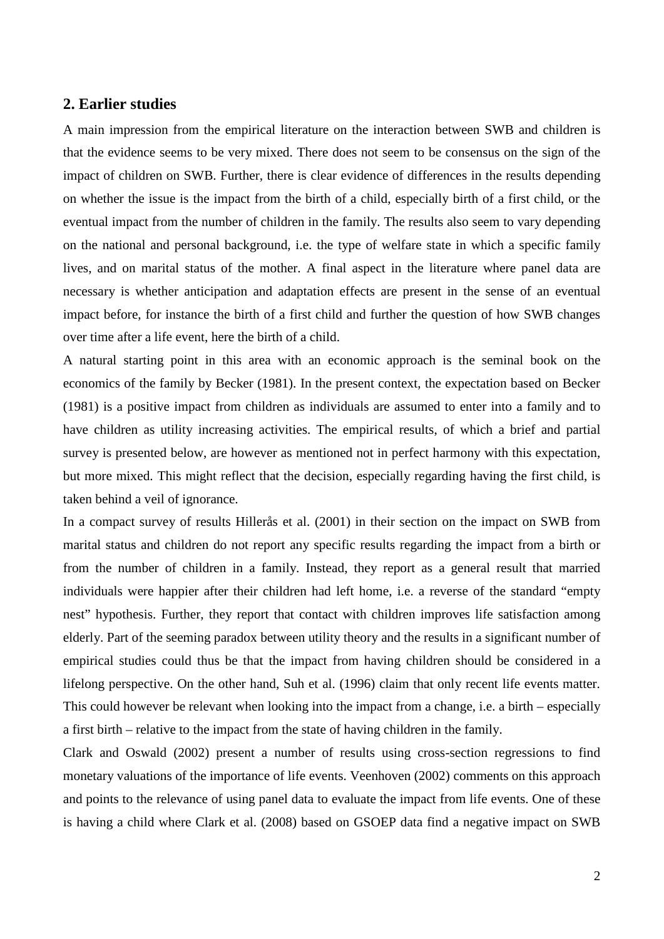### **2. Earlier studies**

A main impression from the empirical literature on the interaction between SWB and children is that the evidence seems to be very mixed. There does not seem to be consensus on the sign of the impact of children on SWB. Further, there is clear evidence of differences in the results depending on whether the issue is the impact from the birth of a child, especially birth of a first child, or the eventual impact from the number of children in the family. The results also seem to vary depending on the national and personal background, i.e. the type of welfare state in which a specific family lives, and on marital status of the mother. A final aspect in the literature where panel data are necessary is whether anticipation and adaptation effects are present in the sense of an eventual impact before, for instance the birth of a first child and further the question of how SWB changes over time after a life event, here the birth of a child.

A natural starting point in this area with an economic approach is the seminal book on the economics of the family by Becker (1981). In the present context, the expectation based on Becker (1981) is a positive impact from children as individuals are assumed to enter into a family and to have children as utility increasing activities. The empirical results, of which a brief and partial survey is presented below, are however as mentioned not in perfect harmony with this expectation, but more mixed. This might reflect that the decision, especially regarding having the first child, is taken behind a veil of ignorance.

In a compact survey of results Hillerås et al. (2001) in their section on the impact on SWB from marital status and children do not report any specific results regarding the impact from a birth or from the number of children in a family. Instead, they report as a general result that married individuals were happier after their children had left home, i.e. a reverse of the standard "empty nest" hypothesis. Further, they report that contact with children improves life satisfaction among elderly. Part of the seeming paradox between utility theory and the results in a significant number of empirical studies could thus be that the impact from having children should be considered in a lifelong perspective. On the other hand, Suh et al. (1996) claim that only recent life events matter. This could however be relevant when looking into the impact from a change, i.e. a birth – especially a first birth – relative to the impact from the state of having children in the family.

Clark and Oswald (2002) present a number of results using cross-section regressions to find monetary valuations of the importance of life events. Veenhoven (2002) comments on this approach and points to the relevance of using panel data to evaluate the impact from life events. One of these is having a child where Clark et al. (2008) based on GSOEP data find a negative impact on SWB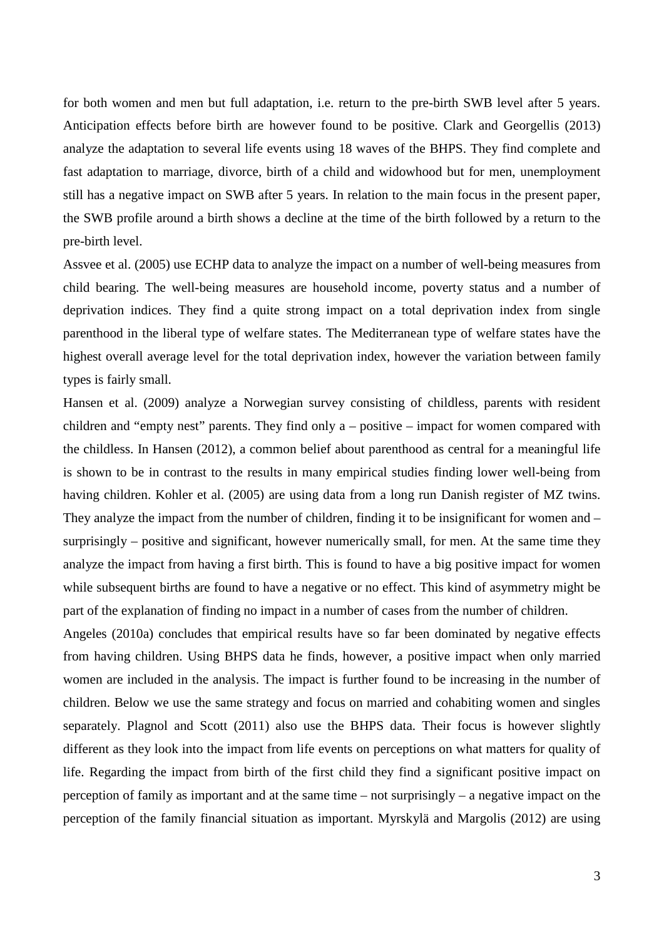for both women and men but full adaptation, i.e. return to the pre-birth SWB level after 5 years. Anticipation effects before birth are however found to be positive. Clark and Georgellis (2013) analyze the adaptation to several life events using 18 waves of the BHPS. They find complete and fast adaptation to marriage, divorce, birth of a child and widowhood but for men, unemployment still has a negative impact on SWB after 5 years. In relation to the main focus in the present paper, the SWB profile around a birth shows a decline at the time of the birth followed by a return to the pre-birth level.

Assvee et al. (2005) use ECHP data to analyze the impact on a number of well-being measures from child bearing. The well-being measures are household income, poverty status and a number of deprivation indices. They find a quite strong impact on a total deprivation index from single parenthood in the liberal type of welfare states. The Mediterranean type of welfare states have the highest overall average level for the total deprivation index, however the variation between family types is fairly small.

Hansen et al. (2009) analyze a Norwegian survey consisting of childless, parents with resident children and "empty nest" parents. They find only a – positive – impact for women compared with the childless. In Hansen (2012), a common belief about parenthood as central for a meaningful life is shown to be in contrast to the results in many empirical studies finding lower well-being from having children. Kohler et al. (2005) are using data from a long run Danish register of MZ twins. They analyze the impact from the number of children, finding it to be insignificant for women and – surprisingly – positive and significant, however numerically small, for men. At the same time they analyze the impact from having a first birth. This is found to have a big positive impact for women while subsequent births are found to have a negative or no effect. This kind of asymmetry might be part of the explanation of finding no impact in a number of cases from the number of children.

Angeles (2010a) concludes that empirical results have so far been dominated by negative effects from having children. Using BHPS data he finds, however, a positive impact when only married women are included in the analysis. The impact is further found to be increasing in the number of children. Below we use the same strategy and focus on married and cohabiting women and singles separately. Plagnol and Scott (2011) also use the BHPS data. Their focus is however slightly different as they look into the impact from life events on perceptions on what matters for quality of life. Regarding the impact from birth of the first child they find a significant positive impact on perception of family as important and at the same time – not surprisingly – a negative impact on the perception of the family financial situation as important. Myrskylä and Margolis (2012) are using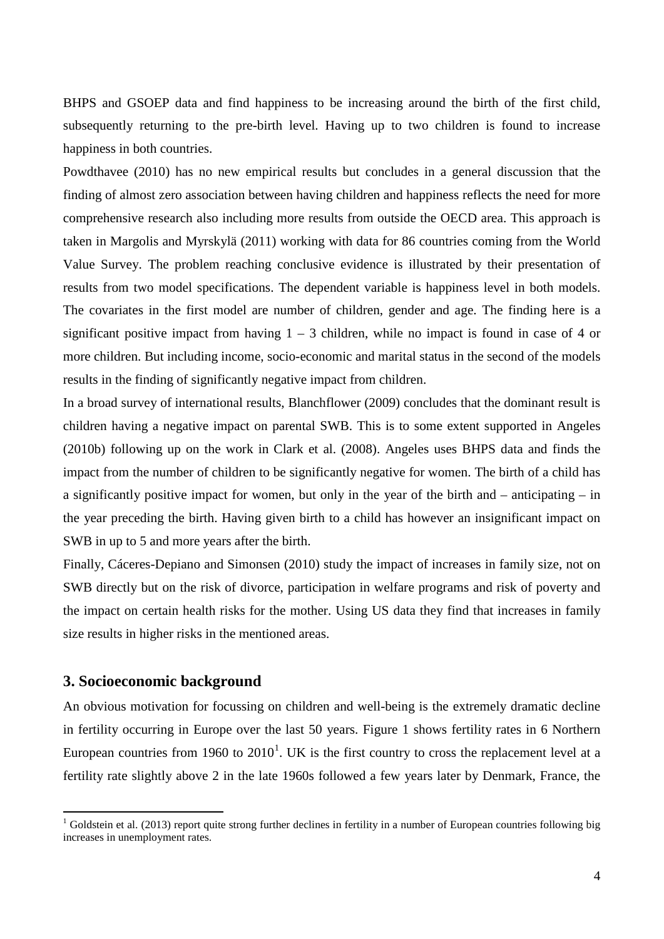BHPS and GSOEP data and find happiness to be increasing around the birth of the first child, subsequently returning to the pre-birth level. Having up to two children is found to increase happiness in both countries.

Powdthavee (2010) has no new empirical results but concludes in a general discussion that the finding of almost zero association between having children and happiness reflects the need for more comprehensive research also including more results from outside the OECD area. This approach is taken in Margolis and Myrskylä (2011) working with data for 86 countries coming from the World Value Survey. The problem reaching conclusive evidence is illustrated by their presentation of results from two model specifications. The dependent variable is happiness level in both models. The covariates in the first model are number of children, gender and age. The finding here is a significant positive impact from having  $1 - 3$  children, while no impact is found in case of 4 or more children. But including income, socio-economic and marital status in the second of the models results in the finding of significantly negative impact from children.

In a broad survey of international results, Blanchflower (2009) concludes that the dominant result is children having a negative impact on parental SWB. This is to some extent supported in Angeles (2010b) following up on the work in Clark et al. (2008). Angeles uses BHPS data and finds the impact from the number of children to be significantly negative for women. The birth of a child has a significantly positive impact for women, but only in the year of the birth and – anticipating – in the year preceding the birth. Having given birth to a child has however an insignificant impact on SWB in up to 5 and more years after the birth.

Finally, Cáceres-Depiano and Simonsen (2010) study the impact of increases in family size, not on SWB directly but on the risk of divorce, participation in welfare programs and risk of poverty and the impact on certain health risks for the mother. Using US data they find that increases in family size results in higher risks in the mentioned areas.

#### **3. Socioeconomic background**

An obvious motivation for focussing on children and well-being is the extremely dramatic decline in fertility occurring in Europe over the last 50 years. Figure 1 shows fertility rates in 6 Northern European countries from [1](#page-30-0)960 to  $2010<sup>1</sup>$ . UK is the first country to cross the replacement level at a fertility rate slightly above 2 in the late 1960s followed a few years later by Denmark, France, the

<span id="page-6-0"></span><sup>&</sup>lt;sup>1</sup> Goldstein et al. (2013) report quite strong further declines in fertility in a number of European countries following big increases in unemployment rates.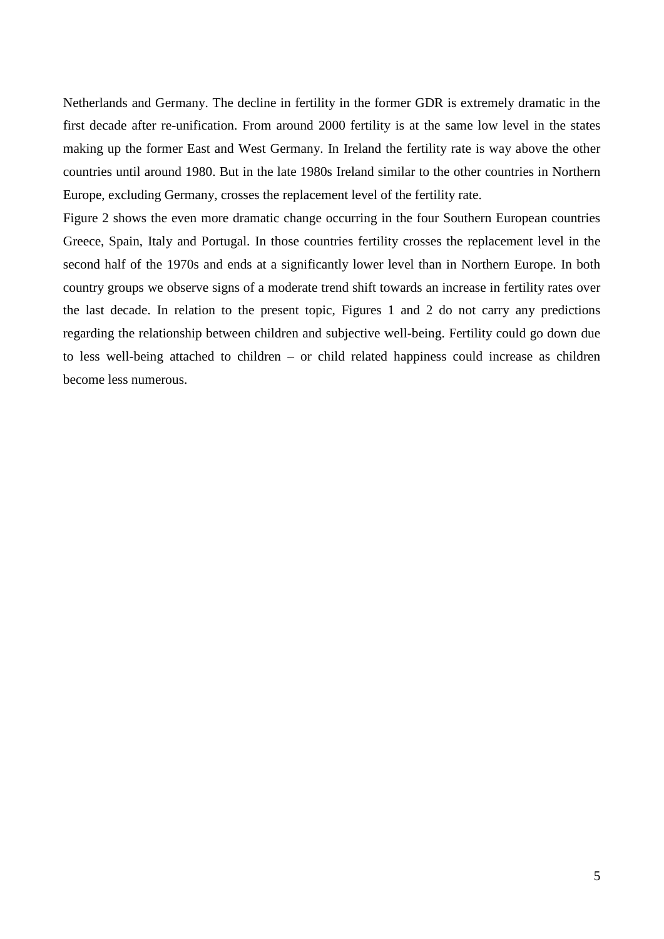Netherlands and Germany. The decline in fertility in the former GDR is extremely dramatic in the first decade after re-unification. From around 2000 fertility is at the same low level in the states making up the former East and West Germany. In Ireland the fertility rate is way above the other countries until around 1980. But in the late 1980s Ireland similar to the other countries in Northern Europe, excluding Germany, crosses the replacement level of the fertility rate.

Figure 2 shows the even more dramatic change occurring in the four Southern European countries Greece, Spain, Italy and Portugal. In those countries fertility crosses the replacement level in the second half of the 1970s and ends at a significantly lower level than in Northern Europe. In both country groups we observe signs of a moderate trend shift towards an increase in fertility rates over the last decade. In relation to the present topic, Figures 1 and 2 do not carry any predictions regarding the relationship between children and subjective well-being. Fertility could go down due to less well-being attached to children – or child related happiness could increase as children become less numerous.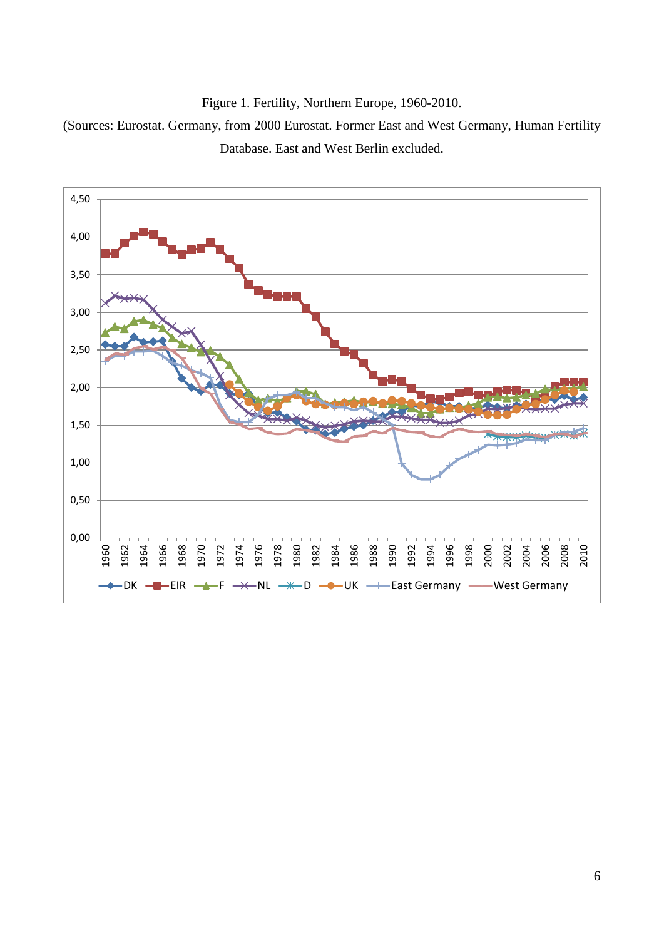

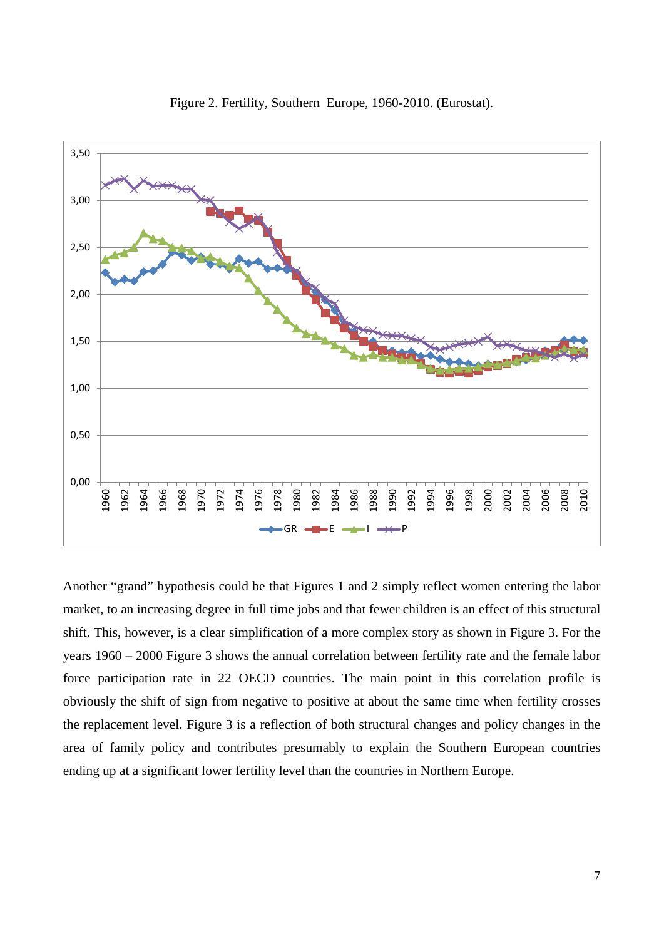

Figure 2. Fertility, Southern Europe, 1960-2010. (Eurostat).

Another "grand" hypothesis could be that Figures 1 and 2 simply reflect women entering the labor market, to an increasing degree in full time jobs and that fewer children is an effect of this structural shift. This, however, is a clear simplification of a more complex story as shown in Figure 3. For the years 1960 – 2000 Figure 3 shows the annual correlation between fertility rate and the female labor force participation rate in 22 OECD countries. The main point in this correlation profile is obviously the shift of sign from negative to positive at about the same time when fertility crosses the replacement level. Figure 3 is a reflection of both structural changes and policy changes in the area of family policy and contributes presumably to explain the Southern European countries ending up at a significant lower fertility level than the countries in Northern Europe.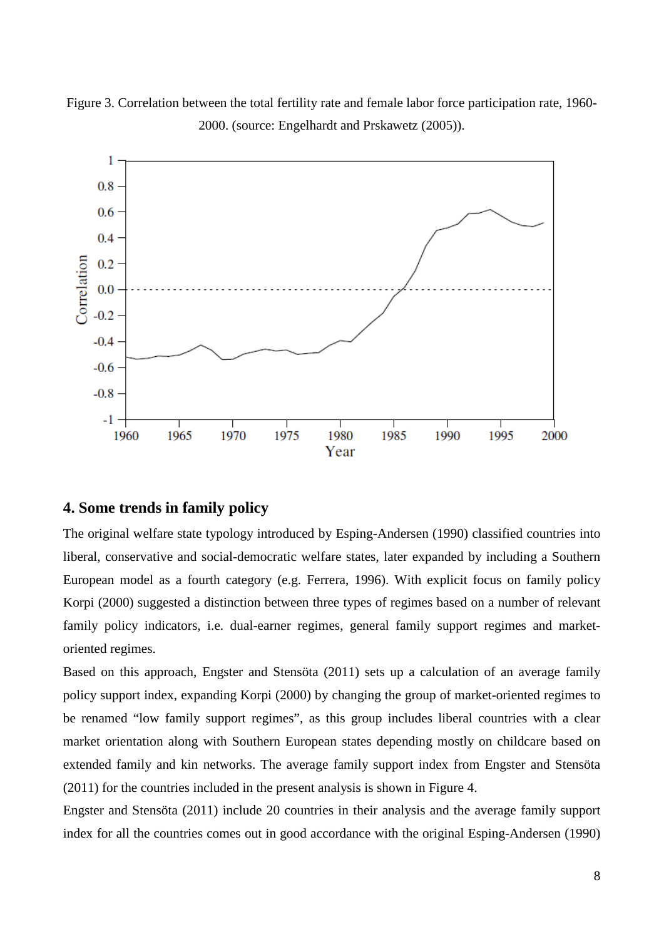

Figure 3. Correlation between the total fertility rate and female labor force participation rate, 1960- 2000. (source: Engelhardt and Prskawetz (2005)).

### **4. Some trends in family policy**

The original welfare state typology introduced by Esping-Andersen (1990) classified countries into liberal, conservative and social-democratic welfare states, later expanded by including a Southern European model as a fourth category (e.g. Ferrera, 1996). With explicit focus on family policy Korpi (2000) suggested a distinction between three types of regimes based on a number of relevant family policy indicators, i.e. dual-earner regimes, general family support regimes and marketoriented regimes.

Based on this approach, Engster and Stensöta (2011) sets up a calculation of an average family policy support index, expanding Korpi (2000) by changing the group of market-oriented regimes to be renamed "low family support regimes", as this group includes liberal countries with a clear market orientation along with Southern European states depending mostly on childcare based on extended family and kin networks. The average family support index from Engster and Stensöta (2011) for the countries included in the present analysis is shown in Figure 4.

Engster and Stensöta (2011) include 20 countries in their analysis and the average family support index for all the countries comes out in good accordance with the original Esping-Andersen (1990)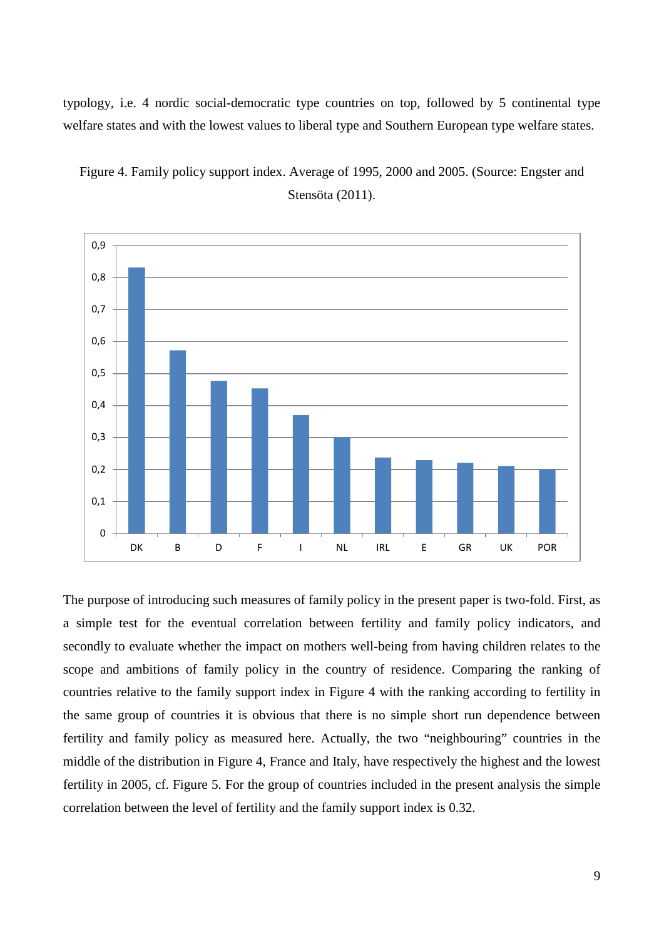typology, i.e. 4 nordic social-democratic type countries on top, followed by 5 continental type welfare states and with the lowest values to liberal type and Southern European type welfare states.



Figure 4. Family policy support index. Average of 1995, 2000 and 2005. (Source: Engster and Stensöta (2011).

The purpose of introducing such measures of family policy in the present paper is two-fold. First, as a simple test for the eventual correlation between fertility and family policy indicators, and secondly to evaluate whether the impact on mothers well-being from having children relates to the scope and ambitions of family policy in the country of residence. Comparing the ranking of countries relative to the family support index in Figure 4 with the ranking according to fertility in the same group of countries it is obvious that there is no simple short run dependence between fertility and family policy as measured here. Actually, the two "neighbouring" countries in the middle of the distribution in Figure 4, France and Italy, have respectively the highest and the lowest fertility in 2005, cf. Figure 5. For the group of countries included in the present analysis the simple correlation between the level of fertility and the family support index is 0.32.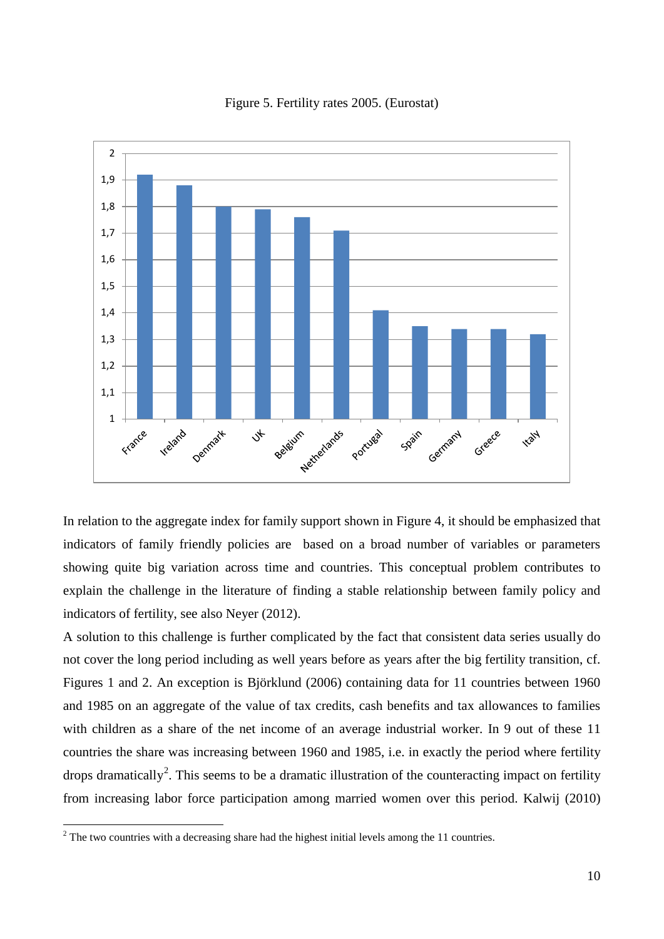

#### Figure 5. Fertility rates 2005. (Eurostat)

In relation to the aggregate index for family support shown in Figure 4, it should be emphasized that indicators of family friendly policies are based on a broad number of variables or parameters showing quite big variation across time and countries. This conceptual problem contributes to explain the challenge in the literature of finding a stable relationship between family policy and indicators of fertility, see also Neyer (2012).

A solution to this challenge is further complicated by the fact that consistent data series usually do not cover the long period including as well years before as years after the big fertility transition, cf. Figures 1 and 2. An exception is Björklund (2006) containing data for 11 countries between 1960 and 1985 on an aggregate of the value of tax credits, cash benefits and tax allowances to families with children as a share of the net income of an average industrial worker. In 9 out of these 11 countries the share was increasing between 1960 and 1985, i.e. in exactly the period where fertility drops dramatically<sup>[2](#page-6-0)</sup>. This seems to be a dramatic illustration of the counteracting impact on fertility from increasing labor force participation among married women over this period. Kalwij (2010)

<span id="page-12-0"></span> $2^2$  The two countries with a decreasing share had the highest initial levels among the 11 countries.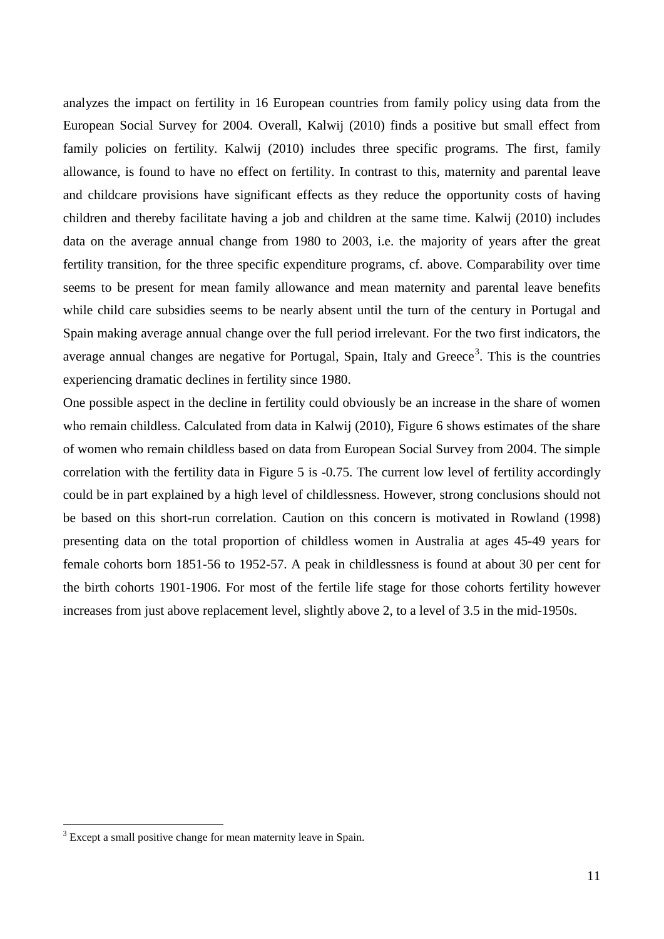analyzes the impact on fertility in 16 European countries from family policy using data from the European Social Survey for 2004. Overall, Kalwij (2010) finds a positive but small effect from family policies on fertility. Kalwij (2010) includes three specific programs. The first, family allowance, is found to have no effect on fertility. In contrast to this, maternity and parental leave and childcare provisions have significant effects as they reduce the opportunity costs of having children and thereby facilitate having a job and children at the same time. Kalwij (2010) includes data on the average annual change from 1980 to 2003, i.e. the majority of years after the great fertility transition, for the three specific expenditure programs, cf. above. Comparability over time seems to be present for mean family allowance and mean maternity and parental leave benefits while child care subsidies seems to be nearly absent until the turn of the century in Portugal and Spain making average annual change over the full period irrelevant. For the two first indicators, the average annual changes are negative for Portugal, Spain, Italy and Greece<sup>[3](#page-12-0)</sup>. This is the countries experiencing dramatic declines in fertility since 1980.

One possible aspect in the decline in fertility could obviously be an increase in the share of women who remain childless. Calculated from data in Kalwij (2010), Figure 6 shows estimates of the share of women who remain childless based on data from European Social Survey from 2004. The simple correlation with the fertility data in Figure 5 is -0.75. The current low level of fertility accordingly could be in part explained by a high level of childlessness. However, strong conclusions should not be based on this short-run correlation. Caution on this concern is motivated in Rowland (1998) presenting data on the total proportion of childless women in Australia at ages 45-49 years for female cohorts born 1851-56 to 1952-57. A peak in childlessness is found at about 30 per cent for the birth cohorts 1901-1906. For most of the fertile life stage for those cohorts fertility however increases from just above replacement level, slightly above 2, to a level of 3.5 in the mid-1950s.

<span id="page-13-0"></span><sup>&</sup>lt;sup>3</sup> Except a small positive change for mean maternity leave in Spain.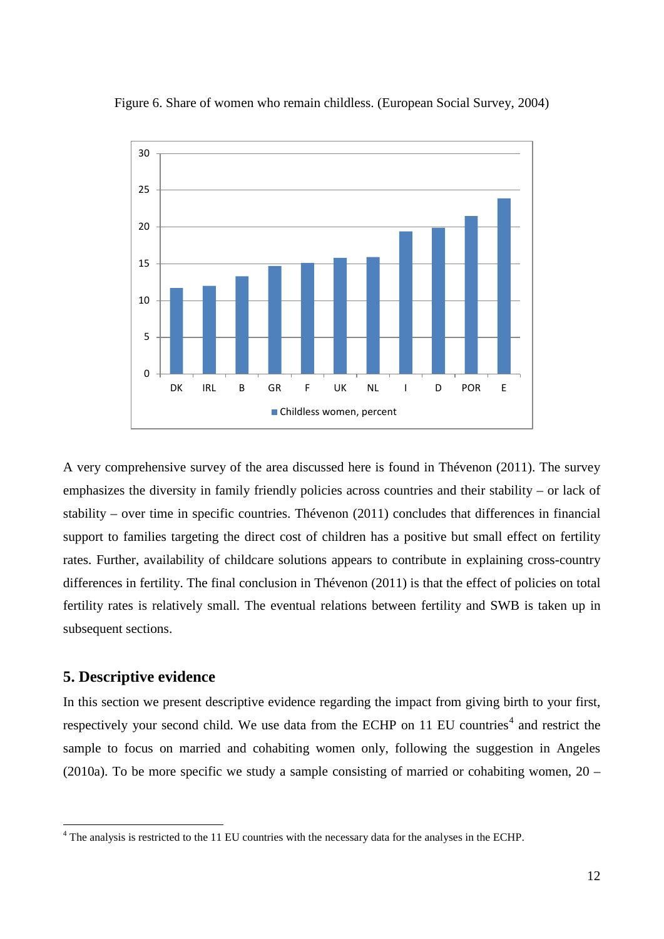

#### Figure 6. Share of women who remain childless. (European Social Survey, 2004)

A very comprehensive survey of the area discussed here is found in Thévenon (2011). The survey emphasizes the diversity in family friendly policies across countries and their stability – or lack of stability – over time in specific countries. Thévenon (2011) concludes that differences in financial support to families targeting the direct cost of children has a positive but small effect on fertility rates. Further, availability of childcare solutions appears to contribute in explaining cross-country differences in fertility. The final conclusion in Thévenon (2011) is that the effect of policies on total fertility rates is relatively small. The eventual relations between fertility and SWB is taken up in subsequent sections.

### **5. Descriptive evidence**

In this section we present descriptive evidence regarding the impact from giving birth to your first, respectively your second child. We use data from the ECHP on 11 EU countries<sup>[4](#page-13-0)</sup> and restrict the sample to focus on married and cohabiting women only, following the suggestion in Angeles (2010a). To be more specific we study a sample consisting of married or cohabiting women,  $20 -$ 

<span id="page-14-0"></span><sup>&</sup>lt;sup>4</sup> The analysis is restricted to the 11 EU countries with the necessary data for the analyses in the ECHP.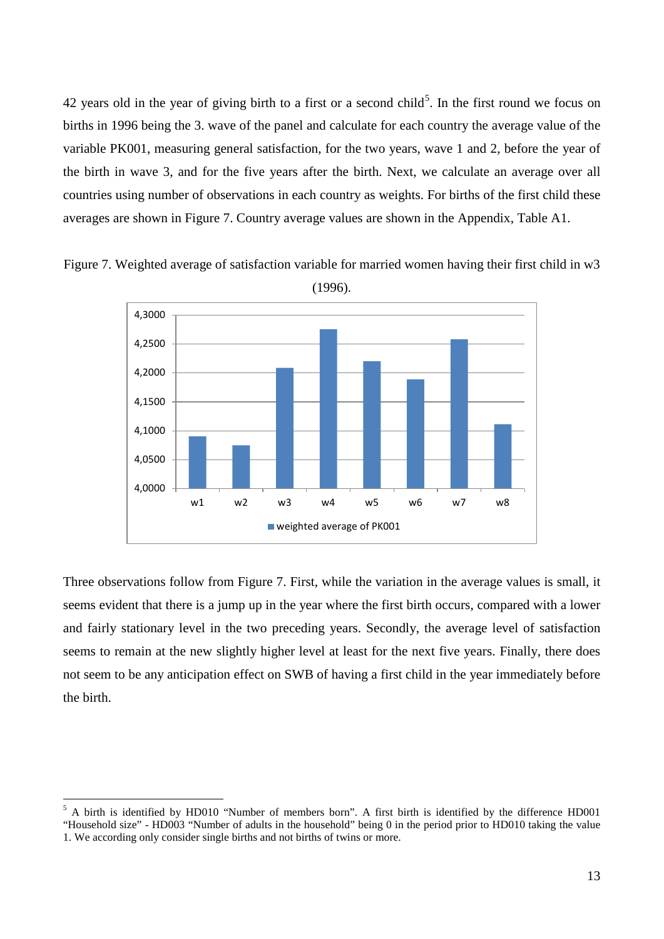42 years old in the year of giving birth to a first or a second child<sup>[5](#page-14-0)</sup>. In the first round we focus on births in 1996 being the 3. wave of the panel and calculate for each country the average value of the variable PK001, measuring general satisfaction, for the two years, wave 1 and 2, before the year of the birth in wave 3, and for the five years after the birth. Next, we calculate an average over all countries using number of observations in each country as weights. For births of the first child these averages are shown in Figure 7. Country average values are shown in the Appendix, Table A1.



Figure 7. Weighted average of satisfaction variable for married women having their first child in w3 (1996).

Three observations follow from Figure 7. First, while the variation in the average values is small, it seems evident that there is a jump up in the year where the first birth occurs, compared with a lower and fairly stationary level in the two preceding years. Secondly, the average level of satisfaction seems to remain at the new slightly higher level at least for the next five years. Finally, there does not seem to be any anticipation effect on SWB of having a first child in the year immediately before the birth.

<span id="page-15-0"></span> <sup>5</sup> A birth is identified by HD010 "Number of members born". A first birth is identified by the difference HD001 "Household size" - HD003 "Number of adults in the household" being 0 in the period prior to HD010 taking the value 1. We according only consider single births and not births of twins or more.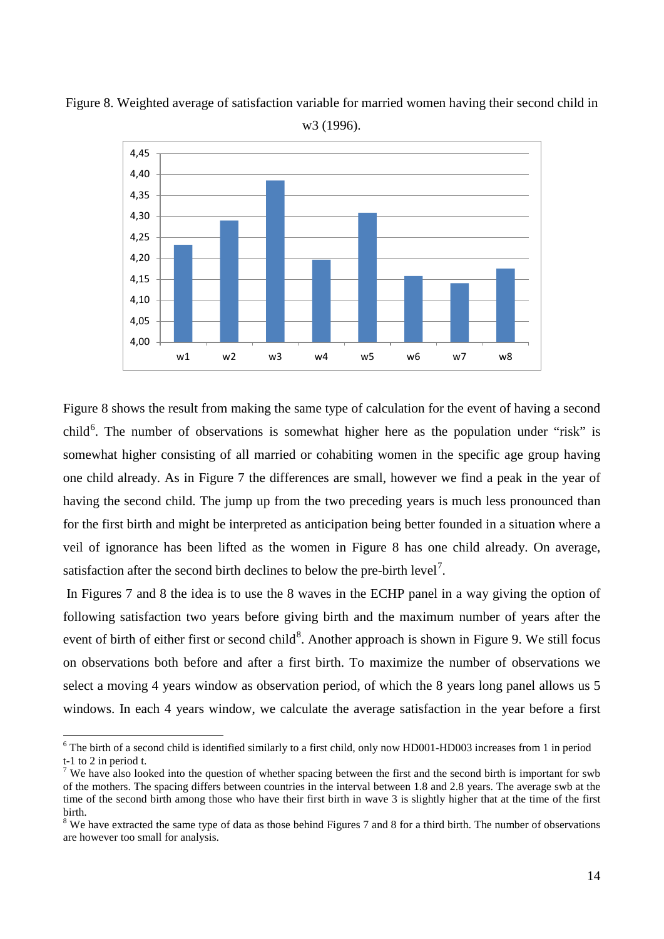

Figure 8. Weighted average of satisfaction variable for married women having their second child in w3 (1996).

Figure 8 shows the result from making the same type of calculation for the event of having a second child<sup>[6](#page-15-0)</sup>. The number of observations is somewhat higher here as the population under "risk" is somewhat higher consisting of all married or cohabiting women in the specific age group having one child already. As in Figure 7 the differences are small, however we find a peak in the year of having the second child. The jump up from the two preceding years is much less pronounced than for the first birth and might be interpreted as anticipation being better founded in a situation where a veil of ignorance has been lifted as the women in Figure 8 has one child already. On average, satisfaction after the second birth declines to below the pre-birth level<sup>[7](#page-16-0)</sup>.

In Figures 7 and 8 the idea is to use the 8 waves in the ECHP panel in a way giving the option of following satisfaction two years before giving birth and the maximum number of years after the event of birth of either first or second child<sup>[8](#page-16-1)</sup>. Another approach is shown in Figure 9. We still focus on observations both before and after a first birth. To maximize the number of observations we select a moving 4 years window as observation period, of which the 8 years long panel allows us 5 windows. In each 4 years window, we calculate the average satisfaction in the year before a first

 $6$  The birth of a second child is identified similarly to a first child, only now HD001-HD003 increases from 1 in period t-1 to 2 in period t.

<span id="page-16-0"></span><sup>&</sup>lt;sup>7</sup> We have also looked into the question of whether spacing between the first and the second birth is important for swb of the mothers. The spacing differs between countries in the interval between 1.8 and 2.8 years. The average swb at the time of the second birth among those who have their first birth in wave 3 is slightly higher that at the time of the first birth.

<span id="page-16-2"></span><span id="page-16-1"></span><sup>&</sup>lt;sup>8</sup> We have extracted the same type of data as those behind Figures 7 and 8 for a third birth. The number of observations are however too small for analysis.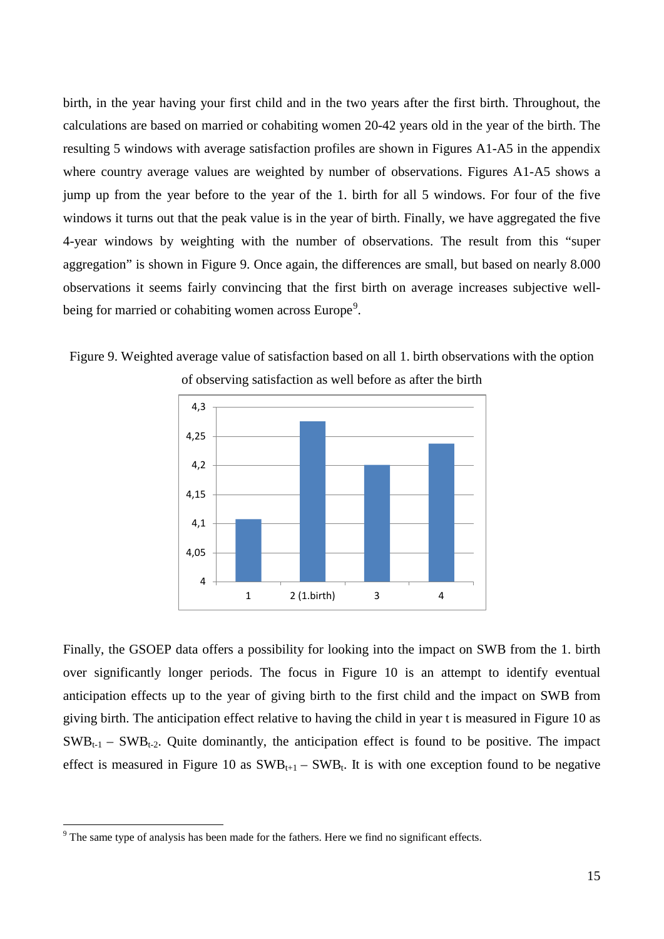birth, in the year having your first child and in the two years after the first birth. Throughout, the calculations are based on married or cohabiting women 20-42 years old in the year of the birth. The resulting 5 windows with average satisfaction profiles are shown in Figures A1-A5 in the appendix where country average values are weighted by number of observations. Figures A1-A5 shows a jump up from the year before to the year of the 1. birth for all 5 windows. For four of the five windows it turns out that the peak value is in the year of birth. Finally, we have aggregated the five 4-year windows by weighting with the number of observations. The result from this "super aggregation" is shown in Figure 9. Once again, the differences are small, but based on nearly 8.000 observations it seems fairly convincing that the first birth on average increases subjective well-being for married or cohabiting women across Europe<sup>[9](#page-16-2)</sup>.

Figure 9. Weighted average value of satisfaction based on all 1. birth observations with the option of observing satisfaction as well before as after the birth



Finally, the GSOEP data offers a possibility for looking into the impact on SWB from the 1. birth over significantly longer periods. The focus in Figure 10 is an attempt to identify eventual anticipation effects up to the year of giving birth to the first child and the impact on SWB from giving birth. The anticipation effect relative to having the child in year t is measured in Figure 10 as  $SWB_{t-1}$  –  $SWB_{t-2}$ . Quite dominantly, the anticipation effect is found to be positive. The impact effect is measured in Figure 10 as  $SWB_{t+1} - SWB_t$ . It is with one exception found to be negative

<span id="page-17-0"></span><sup>&</sup>lt;sup>9</sup> The same type of analysis has been made for the fathers. Here we find no significant effects.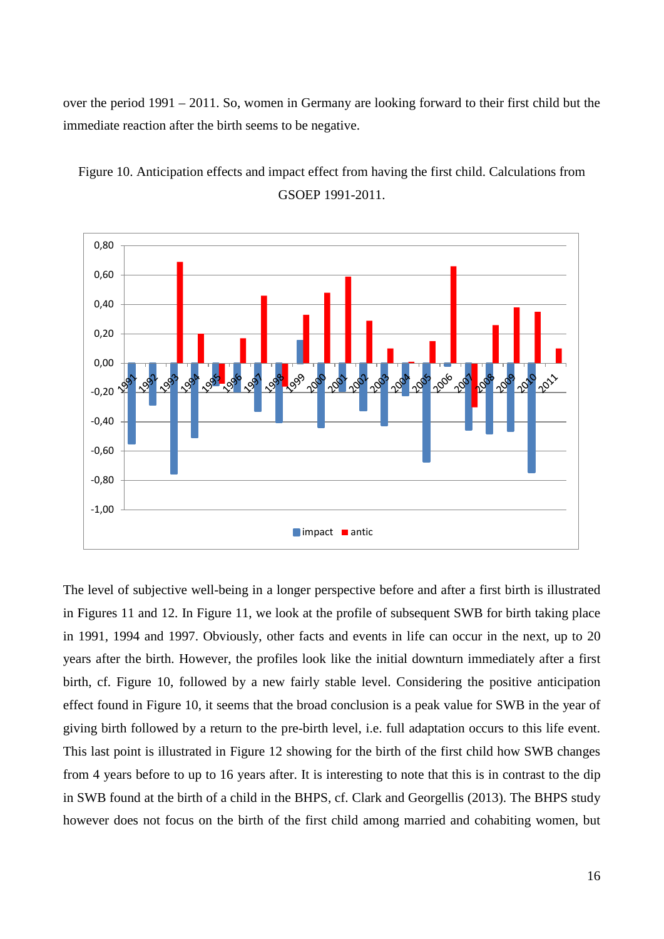over the period 1991 – 2011. So, women in Germany are looking forward to their first child but the immediate reaction after the birth seems to be negative.



Figure 10. Anticipation effects and impact effect from having the first child. Calculations from GSOEP 1991-2011.

The level of subjective well-being in a longer perspective before and after a first birth is illustrated in Figures 11 and 12. In Figure 11, we look at the profile of subsequent SWB for birth taking place in 1991, 1994 and 1997. Obviously, other facts and events in life can occur in the next, up to 20 years after the birth. However, the profiles look like the initial downturn immediately after a first birth, cf. Figure 10, followed by a new fairly stable level. Considering the positive anticipation effect found in Figure 10, it seems that the broad conclusion is a peak value for SWB in the year of giving birth followed by a return to the pre-birth level, i.e. full adaptation occurs to this life event. This last point is illustrated in Figure 12 showing for the birth of the first child how SWB changes from 4 years before to up to 16 years after. It is interesting to note that this is in contrast to the dip in SWB found at the birth of a child in the BHPS, cf. Clark and Georgellis (2013). The BHPS study however does not focus on the birth of the first child among married and cohabiting women, but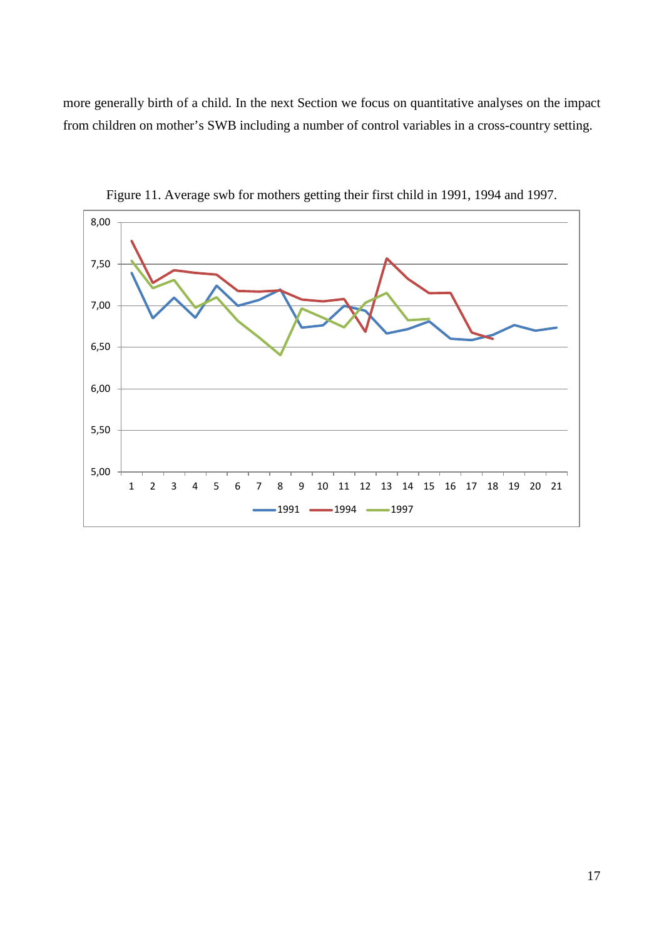more generally birth of a child. In the next Section we focus on quantitative analyses on the impact from children on mother's SWB including a number of control variables in a cross-country setting.



Figure 11. Average swb for mothers getting their first child in 1991, 1994 and 1997.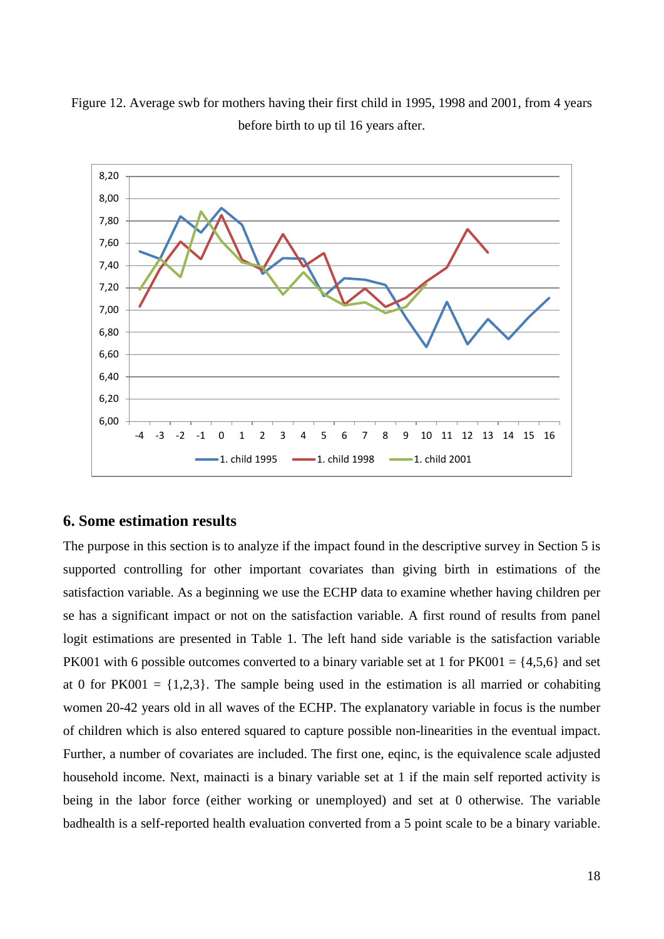

-4 -3 -2 -1 0 1 2 3 4 5 6 7 8 9 10 11 12 13 14 15 16

 $-1.$  child 1995  $-1.$  child 1998  $-1.$  child 2001

Figure 12. Average swb for mothers having their first child in 1995, 1998 and 2001, from 4 years before birth to up til 16 years after.

#### **6. Some estimation results**

6,00

6,20 6,40

6,60 6,80 7,00

The purpose in this section is to analyze if the impact found in the descriptive survey in Section 5 is supported controlling for other important covariates than giving birth in estimations of the satisfaction variable. As a beginning we use the ECHP data to examine whether having children per se has a significant impact or not on the satisfaction variable. A first round of results from panel logit estimations are presented in Table 1. The left hand side variable is the satisfaction variable PK001 with 6 possible outcomes converted to a binary variable set at 1 for  $PK001 = \{4,5,6\}$  and set at 0 for PK001 =  $\{1,2,3\}$ . The sample being used in the estimation is all married or cohabiting women 20-42 years old in all waves of the ECHP. The explanatory variable in focus is the number of children which is also entered squared to capture possible non-linearities in the eventual impact. Further, a number of covariates are included. The first one, eqinc, is the equivalence scale adjusted household income. Next, mainacti is a binary variable set at 1 if the main self reported activity is being in the labor force (either working or unemployed) and set at 0 otherwise. The variable badhealth is a self-reported health evaluation converted from a 5 point scale to be a binary variable.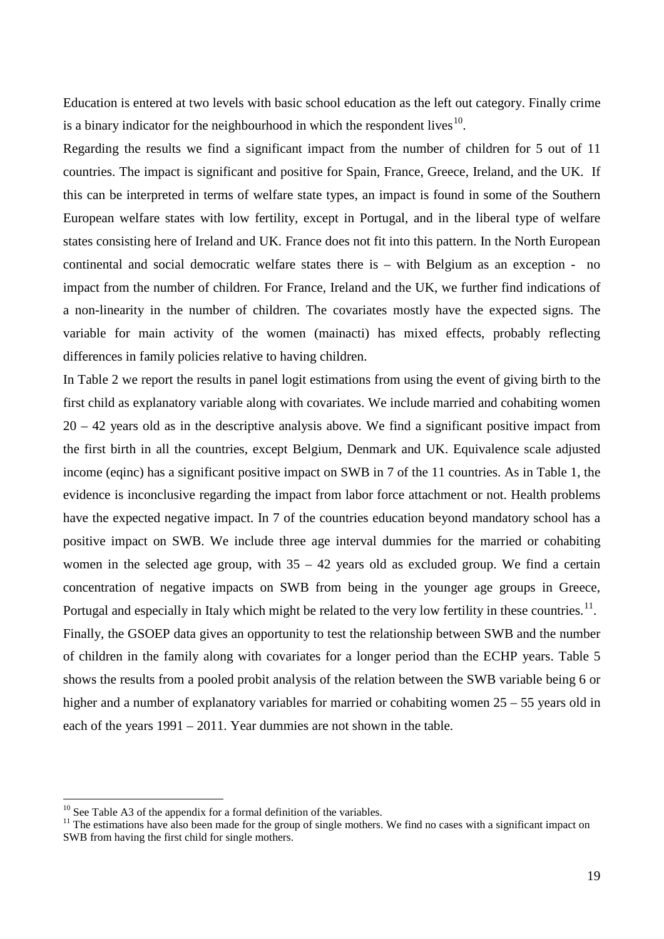Education is entered at two levels with basic school education as the left out category. Finally crime is a binary indicator for the neighbourhood in which the respondent lives $10$ .

Regarding the results we find a significant impact from the number of children for 5 out of 11 countries. The impact is significant and positive for Spain, France, Greece, Ireland, and the UK. If this can be interpreted in terms of welfare state types, an impact is found in some of the Southern European welfare states with low fertility, except in Portugal, and in the liberal type of welfare states consisting here of Ireland and UK. France does not fit into this pattern. In the North European continental and social democratic welfare states there is – with Belgium as an exception - no impact from the number of children. For France, Ireland and the UK, we further find indications of a non-linearity in the number of children. The covariates mostly have the expected signs. The variable for main activity of the women (mainacti) has mixed effects, probably reflecting differences in family policies relative to having children.

In Table 2 we report the results in panel logit estimations from using the event of giving birth to the first child as explanatory variable along with covariates. We include married and cohabiting women  $20 - 42$  years old as in the descriptive analysis above. We find a significant positive impact from the first birth in all the countries, except Belgium, Denmark and UK. Equivalence scale adjusted income (eqinc) has a significant positive impact on SWB in 7 of the 11 countries. As in Table 1, the evidence is inconclusive regarding the impact from labor force attachment or not. Health problems have the expected negative impact. In 7 of the countries education beyond mandatory school has a positive impact on SWB. We include three age interval dummies for the married or cohabiting women in the selected age group, with  $35 - 42$  years old as excluded group. We find a certain concentration of negative impacts on SWB from being in the younger age groups in Greece, Portugal and especially in Italy which might be related to the very low fertility in these countries.<sup>[11](#page-21-0)</sup>. Finally, the GSOEP data gives an opportunity to test the relationship between SWB and the number of children in the family along with covariates for a longer period than the ECHP years. Table 5 shows the results from a pooled probit analysis of the relation between the SWB variable being 6 or

higher and a number of explanatory variables for married or cohabiting women  $25 - 55$  years old in each of the years 1991 – 2011. Year dummies are not shown in the table.

<span id="page-21-0"></span>

<sup>&</sup>lt;sup>10</sup> See Table A3 of the appendix for a formal definition of the variables.<br><sup>11</sup> The estimations have also been made for the group of single mothers. We find no cases with a significant impact on SWB from having the first child for single mothers.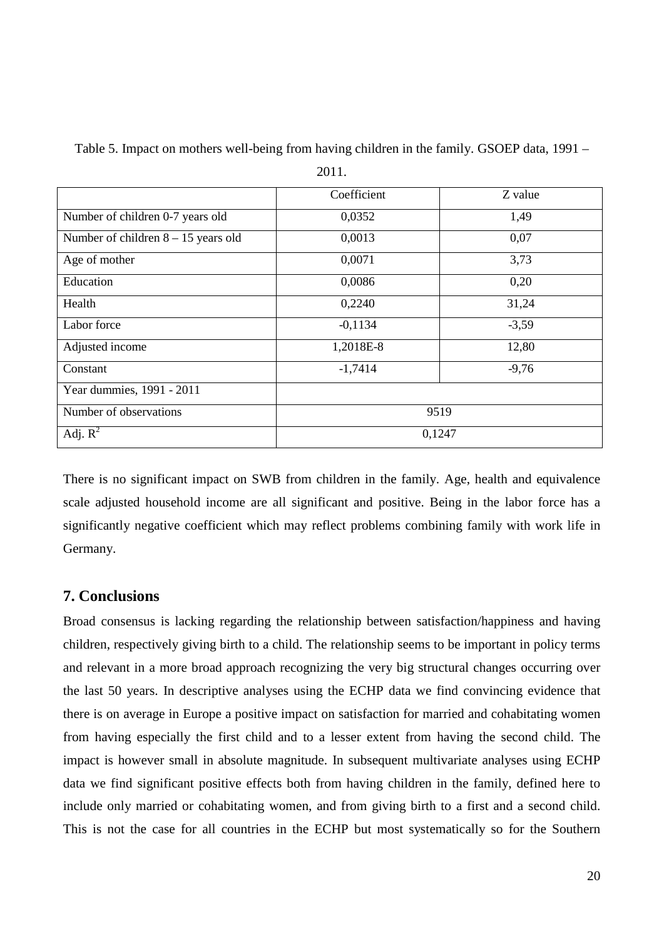|                                       | Coefficient | Z value |
|---------------------------------------|-------------|---------|
|                                       |             |         |
| Number of children 0-7 years old      | 0,0352      | 1,49    |
| Number of children $8 - 15$ years old | 0,0013      | 0,07    |
| Age of mother                         | 0,0071      | 3,73    |
| Education                             | 0,0086      | 0,20    |
| Health                                | 0,2240      | 31,24   |
| Labor force                           | $-0,1134$   | $-3,59$ |
| Adjusted income                       | 1,2018E-8   | 12,80   |
| Constant                              | $-1,7414$   | $-9,76$ |
| Year dummies, 1991 - 2011             |             |         |
| Number of observations                | 9519        |         |
| Adj. $R^2$                            | 0,1247      |         |

Table 5. Impact on mothers well-being from having children in the family. GSOEP data, 1991 – 2011.

There is no significant impact on SWB from children in the family. Age, health and equivalence scale adjusted household income are all significant and positive. Being in the labor force has a significantly negative coefficient which may reflect problems combining family with work life in Germany.

#### **7. Conclusions**

Broad consensus is lacking regarding the relationship between satisfaction/happiness and having children, respectively giving birth to a child. The relationship seems to be important in policy terms and relevant in a more broad approach recognizing the very big structural changes occurring over the last 50 years. In descriptive analyses using the ECHP data we find convincing evidence that there is on average in Europe a positive impact on satisfaction for married and cohabitating women from having especially the first child and to a lesser extent from having the second child. The impact is however small in absolute magnitude. In subsequent multivariate analyses using ECHP data we find significant positive effects both from having children in the family, defined here to include only married or cohabitating women, and from giving birth to a first and a second child. This is not the case for all countries in the ECHP but most systematically so for the Southern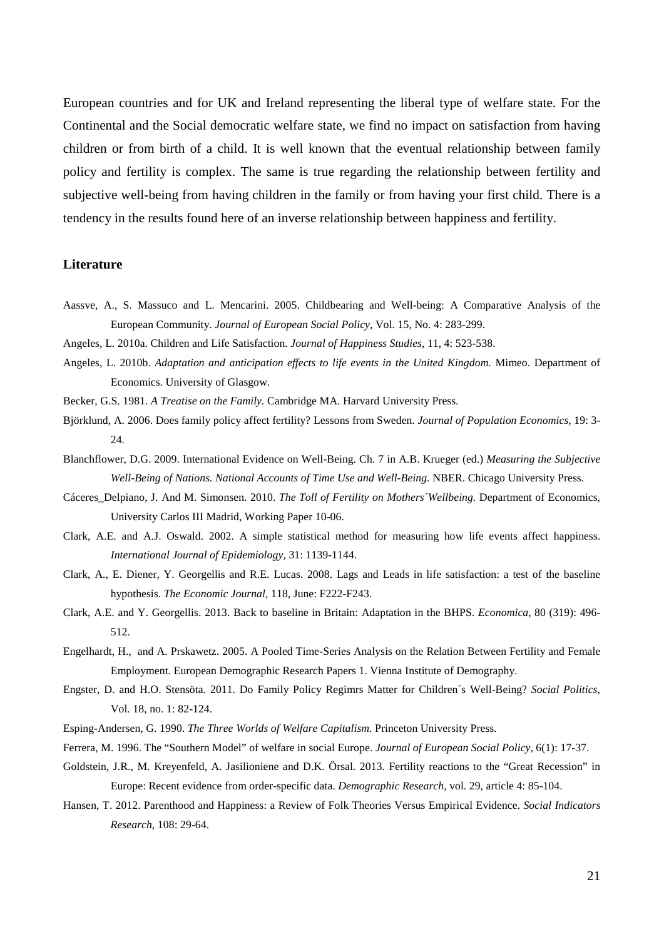European countries and for UK and Ireland representing the liberal type of welfare state. For the Continental and the Social democratic welfare state, we find no impact on satisfaction from having children or from birth of a child. It is well known that the eventual relationship between family policy and fertility is complex. The same is true regarding the relationship between fertility and subjective well-being from having children in the family or from having your first child. There is a tendency in the results found here of an inverse relationship between happiness and fertility.

#### **Literature**

- Aassve, A., S. Massuco and L. Mencarini. 2005. Childbearing and Well-being: A Comparative Analysis of the European Community. *Journal of European Social Policy,* Vol. 15, No. 4: 283-299.
- Angeles, L. 2010a. Children and Life Satisfaction. *Journal of Happiness Studies,* 11, 4: 523-538.
- Angeles, L. 2010b. *Adaptation and anticipation effects to life events in the United Kingdom.* Mimeo. Department of Economics. University of Glasgow.
- Becker, G.S. 1981. *A Treatise on the Family.* Cambridge MA. Harvard University Press.
- Björklund, A. 2006. Does family policy affect fertility? Lessons from Sweden. *Journal of Population Economics,* 19: 3- 24.
- Blanchflower, D.G. 2009. International Evidence on Well-Being. Ch. 7 in A.B. Krueger (ed.) *Measuring the Subjective*  Well-Being of Nations. National Accounts of Time Use and Well-Being. NBER. Chicago University Press.
- Cáceres\_Delpiano, J. And M. Simonsen. 2010. *The Toll of Fertility on Mothers´Wellbeing.* Department of Economics, University Carlos III Madrid, Working Paper 10-06.
- Clark, A.E. and A.J. Oswald. 2002. A simple statistical method for measuring how life events affect happiness. *International Journal of Epidemiology,* 31: 1139-1144.
- Clark, A., E. Diener, Y. Georgellis and R.E. Lucas. 2008. Lags and Leads in life satisfaction: a test of the baseline hypothesis. *The Economic Journal,* 118, June: F222-F243.
- Clark, A.E. and Y. Georgellis. 2013. Back to baseline in Britain: Adaptation in the BHPS. *Economica*, 80 (319): 496- 512.
- Engelhardt, H., and A. Prskawetz. 2005. A Pooled Time-Series Analysis on the Relation Between Fertility and Female Employment. European Demographic Research Papers 1. Vienna Institute of Demography.
- Engster, D. and H.O. Stensöta. 2011. Do Family Policy Regimrs Matter for Children´s Well-Being? *Social Politics,*  Vol. 18, no. 1: 82-124.
- Esping-Andersen, G. 1990. *The Three Worlds of Welfare Capitalism.* Princeton University Press.
- Ferrera, M. 1996. The "Southern Model" of welfare in social Europe. *Journal of European Social Policy,* 6(1): 17-37.
- Goldstein, J.R., M. Kreyenfeld, A. Jasilioniene and D.K. Örsal. 2013. Fertility reactions to the "Great Recession" in Europe: Recent evidence from order-specific data. *Demographic Research,* vol. 29, article 4: 85-104.
- Hansen, T. 2012. Parenthood and Happiness: a Review of Folk Theories Versus Empirical Evidence. *Social Indicators Research,* 108: 29-64.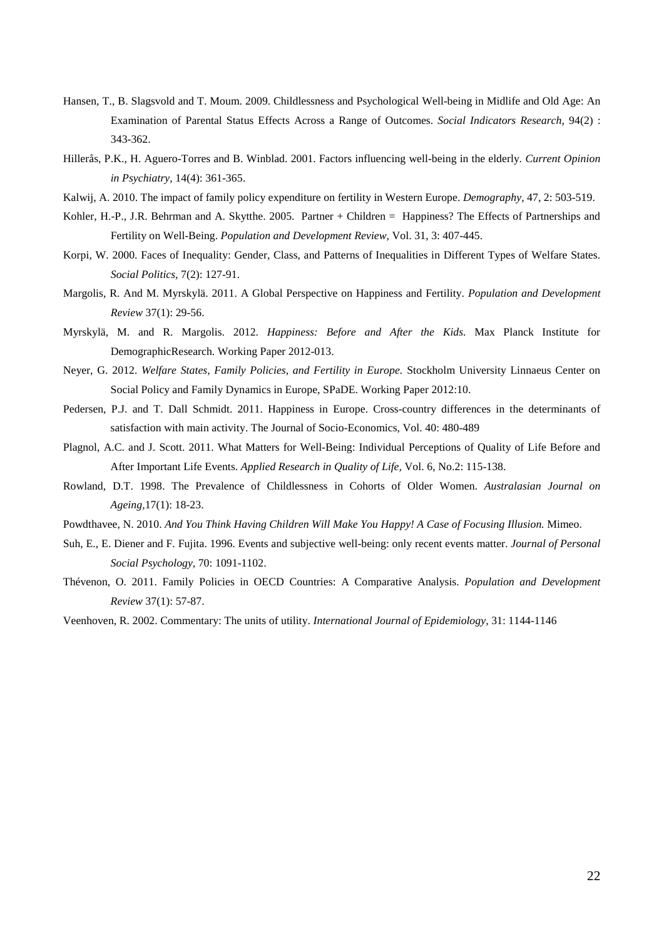- Hansen, T., B. Slagsvold and T. Moum. 2009. Childlessness and Psychological Well-being in Midlife and Old Age: An Examination of Parental Status Effects Across a Range of Outcomes. *Social Indicators Research,* 94(2) : 343-362.
- Hillerås, P.K., H. Aguero-Torres and B. Winblad. 2001. Factors influencing well-being in the elderly. *Current Opinion in Psychiatry,* 14(4): 361-365.
- Kalwij, A. 2010. The impact of family policy expenditure on fertility in Western Europe. *Demography,* 47, 2: 503-519.
- Kohler, H.-P., J.R. Behrman and A. Skytthe. 2005. Partner + Children = Happiness? The Effects of Partnerships and Fertility on Well-Being. *Population and Development Review,* Vol. 31, 3: 407-445.
- Korpi, W. 2000. Faces of Inequality: Gender, Class, and Patterns of Inequalities in Different Types of Welfare States. *Social Politics,* 7(2): 127-91.
- Margolis, R. And M. Myrskylä. 2011. A Global Perspective on Happiness and Fertility. *Population and Development Review* 37(1): 29-56.
- Myrskylä, M. and R. Margolis. 2012. *Happiness: Before and After the Kids.* Max Planck Institute for DemographicResearch. Working Paper 2012-013.
- Neyer, G. 2012. *Welfare States, Family Policies, and Fertility in Europe.* Stockholm University Linnaeus Center on Social Policy and Family Dynamics in Europe, SPaDE. Working Paper 2012:10.
- Pedersen, P.J. and T. Dall Schmidt. 2011. Happiness in Europe. Cross-country differences in the determinants of satisfaction with main activity. The Journal of Socio-Economics, Vol. 40: 480-489
- Plagnol, A.C. and J. Scott. 2011. What Matters for Well-Being: Individual Perceptions of Quality of Life Before and After Important Life Events. *Applied Research in Quality of Life,* Vol. 6, No.2: 115-138.
- Rowland, D.T. 1998. The Prevalence of Childlessness in Cohorts of Older Women. *Australasian Journal on Ageing,*17(1): 18-23.
- Powdthavee, N. 2010. *And You Think Having Children Will Make You Happy! A Case of Focusing Illusion*. Mimeo.
- Suh, E., E. Diener and F. Fujita. 1996. Events and subjective well-being: only recent events matter. *Journal of Personal Social Psychology,* 70: 1091-1102.
- Thévenon, O. 2011. Family Policies in OECD Countries: A Comparative Analysis. *Population and Development Review* 37(1): 57-87.
- Veenhoven, R. 2002. Commentary: The units of utility. *International Journal of Epidemiology,* 31: 1144-1146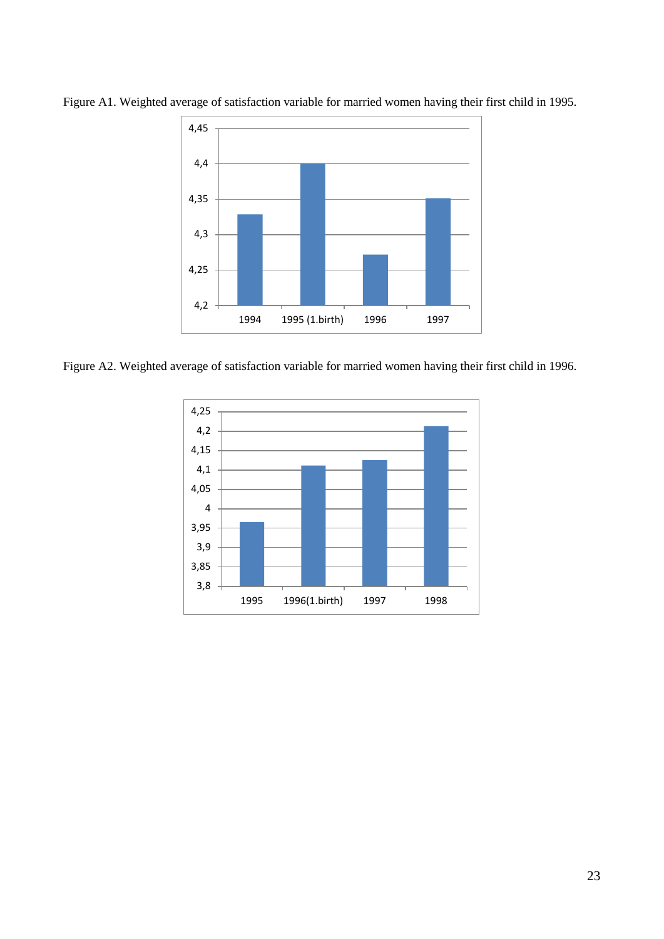

Figure A1. Weighted average of satisfaction variable for married women having their first child in 1995.

Figure A2. Weighted average of satisfaction variable for married women having their first child in 1996.

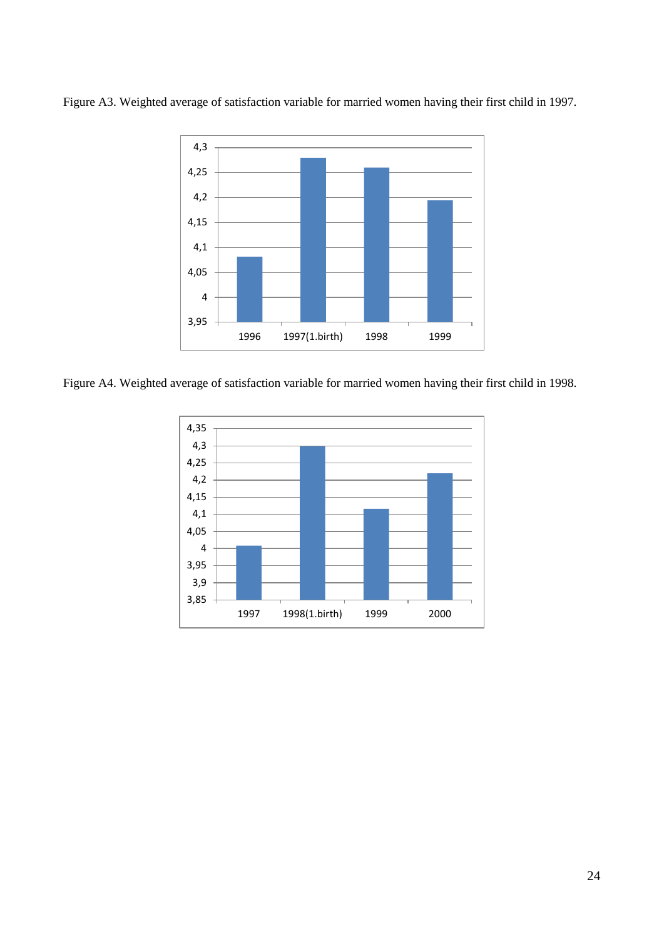

Figure A3. Weighted average of satisfaction variable for married women having their first child in 1997.

Figure A4. Weighted average of satisfaction variable for married women having their first child in 1998.

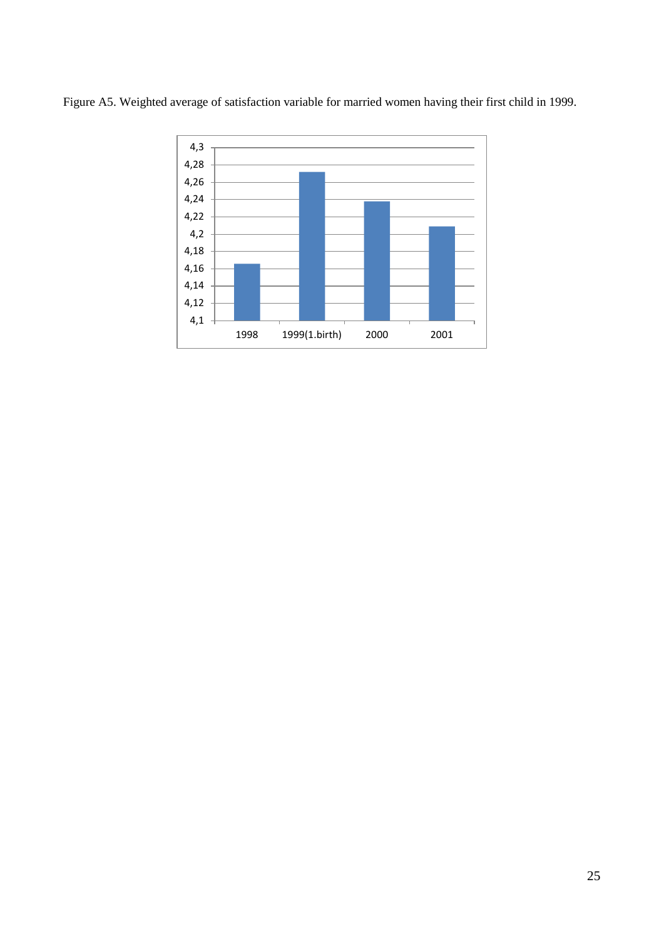

Figure A5. Weighted average of satisfaction variable for married women having their first child in 1999.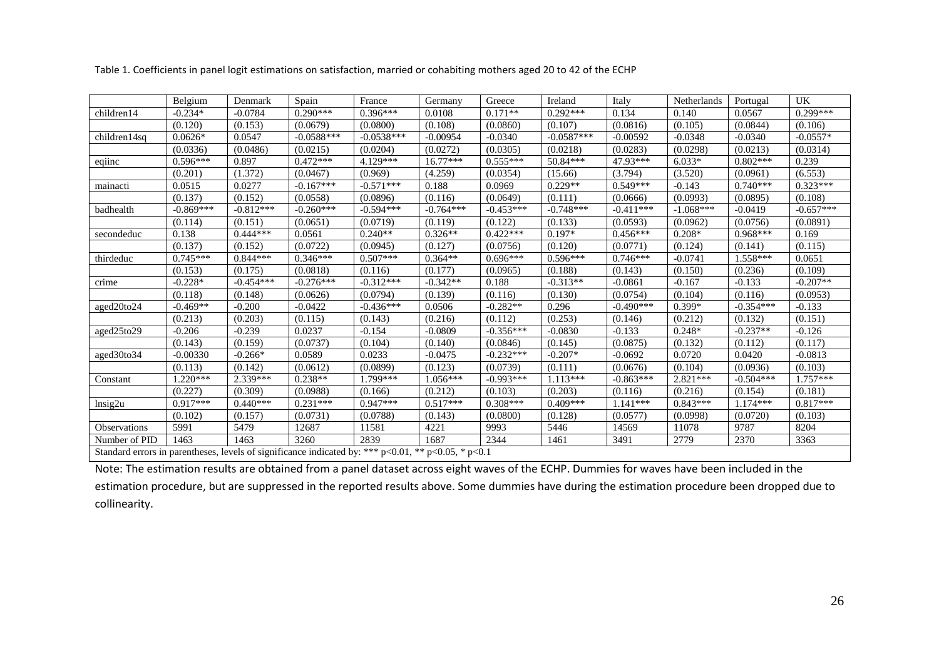|                     | Belgium                                                                                                     | Denmark     | Spain        | France       | Germany     | Greece      | Ireland      | Italy       | Netherlands | Portugal    | <b>UK</b>   |
|---------------------|-------------------------------------------------------------------------------------------------------------|-------------|--------------|--------------|-------------|-------------|--------------|-------------|-------------|-------------|-------------|
| children14          | $-0.234*$                                                                                                   | $-0.0784$   | $0.290***$   | $0.396***$   | 0.0108      | $0.171**$   | $0.292***$   | 0.134       | 0.140       | 0.0567      | $0.299***$  |
|                     | (0.120)                                                                                                     | (0.153)     | (0.0679)     | (0.0800)     | (0.108)     | (0.0860)    | (0.107)      | (0.0816)    | (0.105)     | (0.0844)    | (0.106)     |
| children14sq        | $0.0626*$                                                                                                   | 0.0547      | $-0.0588***$ | $-0.0538***$ | $-0.00954$  | $-0.0340$   | $-0.0587***$ | $-0.00592$  | $-0.0348$   | $-0.0340$   | $-0.0557*$  |
|                     | (0.0336)                                                                                                    | (0.0486)    | (0.0215)     | (0.0204)     | (0.0272)    | (0.0305)    | (0.0218)     | (0.0283)    | (0.0298)    | (0.0213)    | (0.0314)    |
| eqiinc              | $0.596***$                                                                                                  | 0.897       | $0.472***$   | 4.129***     | $16.77***$  | $0.555***$  | 50.84***     | 47.93***    | $6.033*$    | $0.802***$  | 0.239       |
|                     | (0.201)                                                                                                     | (1.372)     | (0.0467)     | (0.969)      | (4.259)     | (0.0354)    | (15.66)      | (3.794)     | (3.520)     | (0.0961)    | (6.553)     |
| mainacti            | 0.0515                                                                                                      | 0.0277      | $-0.167***$  | $-0.571***$  | 0.188       | 0.0969      | $0.229**$    | $0.549***$  | $-0.143$    | $0.740***$  | $0.323***$  |
|                     | (0.137)                                                                                                     | (0.152)     | (0.0558)     | (0.0896)     | (0.116)     | (0.0649)    | (0.111)      | (0.0666)    | (0.0993)    | (0.0895)    | (0.108)     |
| badhealth           | $-0.869***$                                                                                                 | $-0.812***$ | $-0.260***$  | $-0.594***$  | $-0.764***$ | $-0.453***$ | $-0.748***$  | $-0.411***$ | $-1.068***$ | $-0.0419$   | $-0.657***$ |
|                     | (0.114)                                                                                                     | (0.151)     | (0.0651)     | (0.0719)     | (0.119)     | (0.122)     | (0.133)      | (0.0593)    | (0.0962)    | (0.0756)    | (0.0891)    |
| secondeduc          | 0.138                                                                                                       | $0.444***$  | 0.0561       | $0.240**$    | $0.326**$   | $0.422***$  | $0.197*$     | $0.456***$  | $0.208*$    | $0.968***$  | 0.169       |
|                     | (0.137)                                                                                                     | (0.152)     | (0.0722)     | (0.0945)     | (0.127)     | (0.0756)    | (0.120)      | (0.0771)    | (0.124)     | (0.141)     | (0.115)     |
| thirdeduc           | $0.745***$                                                                                                  | $0.844***$  | $0.346***$   | $0.507***$   | $0.364**$   | $0.696***$  | $0.596***$   | $0.746***$  | $-0.0741$   | 1.558***    | 0.0651      |
|                     | (0.153)                                                                                                     | (0.175)     | (0.0818)     | (0.116)      | (0.177)     | (0.0965)    | (0.188)      | (0.143)     | (0.150)     | (0.236)     | (0.109)     |
| crime               | $-0.228*$                                                                                                   | $-0.454***$ | $-0.276***$  | $-0.312***$  | $-0.342**$  | 0.188       | $-0.313**$   | $-0.0861$   | $-0.167$    | $-0.133$    | $-0.207**$  |
|                     | (0.118)                                                                                                     | (0.148)     | (0.0626)     | (0.0794)     | (0.139)     | (0.116)     | (0.130)      | (0.0754)    | (0.104)     | (0.116)     | (0.0953)    |
| aged20to24          | $-0.469**$                                                                                                  | $-0.200$    | $-0.0422$    | $-0.436***$  | 0.0506      | $-0.282**$  | 0.296        | $-0.490***$ | $0.399*$    | $-0.354***$ | $-0.133$    |
|                     | (0.213)                                                                                                     | (0.203)     | (0.115)      | (0.143)      | (0.216)     | (0.112)     | (0.253)      | (0.146)     | (0.212)     | (0.132)     | (0.151)     |
| aged25to29          | $-0.206$                                                                                                    | $-0.239$    | 0.0237       | $-0.154$     | $-0.0809$   | $-0.356***$ | $-0.0830$    | $-0.133$    | $0.248*$    | $-0.237**$  | $-0.126$    |
|                     | (0.143)                                                                                                     | (0.159)     | (0.0737)     | (0.104)      | (0.140)     | (0.0846)    | (0.145)      | (0.0875)    | (0.132)     | (0.112)     | (0.117)     |
| aged30to34          | $-0.00330$                                                                                                  | $-0.266*$   | 0.0589       | 0.0233       | $-0.0475$   | $-0.232***$ | $-0.207*$    | $-0.0692$   | 0.0720      | 0.0420      | $-0.0813$   |
|                     | (0.113)                                                                                                     | (0.142)     | (0.0612)     | (0.0899)     | (0.123)     | (0.0739)    | (0.111)      | (0.0676)    | (0.104)     | (0.0936)    | (0.103)     |
| Constant            | $1.220***$                                                                                                  | $2.339***$  | $0.238**$    | 1.799***     | $1.056***$  | $-0.993***$ | $1.113***$   | $-0.863***$ | $2.821***$  | $-0.504***$ | $1.757***$  |
|                     | (0.227)                                                                                                     | (0.309)     | (0.0988)     | (0.166)      | (0.212)     | (0.103)     | (0.203)      | (0.116)     | (0.216)     | (0.154)     | (0.181)     |
| Insig2u             | $0.917***$                                                                                                  | $0.440***$  | $0.231***$   | $0.947***$   | $0.517***$  | $0.308***$  | $0.409***$   | $1.141***$  | $0.843***$  | $1.174***$  | $0.817***$  |
|                     | (0.102)                                                                                                     | (0.157)     | (0.0731)     | (0.0788)     | (0.143)     | (0.0800)    | (0.128)      | (0.0577)    | (0.0998)    | (0.0720)    | (0.103)     |
| <b>Observations</b> | 5991                                                                                                        | 5479        | 12687        | 11581        | 4221        | 9993        | 5446         | 14569       | 11078       | 9787        | 8204        |
| Number of PID       | 1463                                                                                                        | 1463        | 3260         | 2839         | 1687        | 2344        | 1461         | 3491        | 2779        | 2370        | 3363        |
|                     | Standard errors in parentheses, levels of significance indicated by: *** $p<0.01$ , ** $p<0.05$ , * $p<0.1$ |             |              |              |             |             |              |             |             |             |             |

Table 1. Coefficients in panel logit estimations on satisfaction, married or cohabiting mothers aged 20 to 42 of the ECHP

Note: The estimation results are obtained from a panel dataset across eight waves of the ECHP. Dummies for waves have been included in the

estimation procedure, but are suppressed in the reported results above. Some dummies have during the estimation procedure been dropped due to collinearity.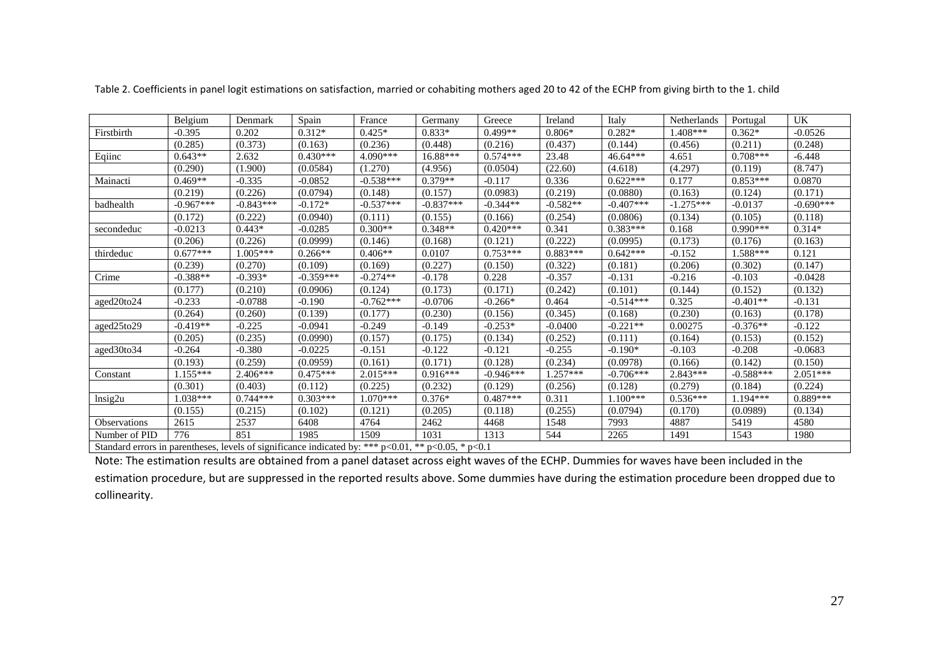|                                                                                                     | Belgium     | Denmark     | Spain       | France      | Germany     | Greece      | Ireland    | Italy       | Netherlands | Portugal    | UK          |
|-----------------------------------------------------------------------------------------------------|-------------|-------------|-------------|-------------|-------------|-------------|------------|-------------|-------------|-------------|-------------|
| Firstbirth                                                                                          | $-0.395$    | 0.202       | $0.312*$    | $0.425*$    | $0.833*$    | $0.499**$   | $0.806*$   | $0.282*$    | $1.408***$  | $0.362*$    | $-0.0526$   |
|                                                                                                     | (0.285)     | (0.373)     | (0.163)     | (0.236)     | (0.448)     | (0.216)     | (0.437)    | (0.144)     | (0.456)     | (0.211)     | (0.248)     |
| Eqiinc                                                                                              | $0.643**$   | 2.632       | $0.430***$  | 4.090***    | 16.88***    | $0.574***$  | 23.48      | $46.64***$  | 4.651       | $0.708***$  | $-6.448$    |
|                                                                                                     | (0.290)     | (1.900)     | (0.0584)    | (1.270)     | (4.956)     | (0.0504)    | (22.60)    | (4.618)     | (4.297)     | (0.119)     | (8.747)     |
| Mainacti                                                                                            | $0.469**$   | $-0.335$    | $-0.0852$   | $-0.538***$ | $0.379**$   | $-0.117$    | 0.336      | $0.622***$  | 0.177       | $0.853***$  | 0.0870      |
|                                                                                                     | (0.219)     | (0.226)     | (0.0794)    | (0.148)     | (0.157)     | (0.0983)    | (0.219)    | (0.0880)    | (0.163)     | (0.124)     | (0.171)     |
| badhealth                                                                                           | $-0.967***$ | $-0.843***$ | $-0.172*$   | $-0.537***$ | $-0.837***$ | $-0.344**$  | $-0.582**$ | $-0.407***$ | $-1.275***$ | $-0.0137$   | $-0.690***$ |
|                                                                                                     | (0.172)     | (0.222)     | (0.0940)    | (0.111)     | (0.155)     | (0.166)     | (0.254)    | (0.0806)    | (0.134)     | (0.105)     | (0.118)     |
| secondeduc                                                                                          | $-0.0213$   | $0.443*$    | $-0.0285$   | $0.300**$   | $0.348**$   | $0.420***$  | 0.341      | $0.383***$  | 0.168       | $0.990***$  | $0.314*$    |
|                                                                                                     | (0.206)     | (0.226)     | (0.0999)    | (0.146)     | (0.168)     | (0.121)     | (0.222)    | (0.0995)    | (0.173)     | (0.176)     | (0.163)     |
| thirdeduc                                                                                           | $0.677***$  | $1.005***$  | $0.266**$   | $0.406**$   | 0.0107      | $0.753***$  | $0.883***$ | $0.642***$  | $-0.152$    | 1.588***    | 0.121       |
|                                                                                                     | (0.239)     | (0.270)     | (0.109)     | (0.169)     | (0.227)     | (0.150)     | (0.322)    | (0.181)     | (0.206)     | (0.302)     | (0.147)     |
| Crime                                                                                               | $-0.388**$  | $-0.393*$   | $-0.359***$ | $-0.274**$  | $-0.178$    | 0.228       | $-0.357$   | $-0.131$    | $-0.216$    | $-0.103$    | $-0.0428$   |
|                                                                                                     | (0.177)     | (0.210)     | (0.0906)    | (0.124)     | (0.173)     | (0.171)     | (0.242)    | (0.101)     | (0.144)     | (0.152)     | (0.132)     |
| aged20to24                                                                                          | $-0.233$    | $-0.0788$   | $-0.190$    | $-0.762***$ | $-0.0706$   | $-0.266*$   | 0.464      | $-0.514***$ | 0.325       | $-0.401**$  | $-0.131$    |
|                                                                                                     | (0.264)     | (0.260)     | (0.139)     | (0.177)     | (0.230)     | (0.156)     | (0.345)    | (0.168)     | (0.230)     | (0.163)     | (0.178)     |
| aged25to29                                                                                          | $-0.419**$  | $-0.225$    | $-0.0941$   | $-0.249$    | $-0.149$    | $-0.253*$   | $-0.0400$  | $-0.221**$  | 0.00275     | $-0.376**$  | $-0.122$    |
|                                                                                                     | (0.205)     | (0.235)     | (0.0990)    | (0.157)     | (0.175)     | (0.134)     | (0.252)    | (0.111)     | (0.164)     | (0.153)     | (0.152)     |
| aged30to34                                                                                          | $-0.264$    | $-0.380$    | $-0.0225$   | $-0.151$    | $-0.122$    | $-0.121$    | $-0.255$   | $-0.190*$   | $-0.103$    | $-0.208$    | $-0.0683$   |
|                                                                                                     | (0.193)     | (0.259)     | (0.0959)    | (0.161)     | (0.171)     | (0.128)     | (0.234)    | (0.0978)    | (0.166)     | (0.142)     | (0.150)     |
| Constant                                                                                            | $1.155***$  | $2.406***$  | $0.475***$  | $2.015***$  | $0.916***$  | $-0.946***$ | $1.257***$ | $-0.706***$ | $2.843***$  | $-0.588***$ | $2.051***$  |
|                                                                                                     | (0.301)     | (0.403)     | (0.112)     | (0.225)     | (0.232)     | (0.129)     | (0.256)    | (0.128)     | (0.279)     | (0.184)     | (0.224)     |
| $\ln$ sig2u                                                                                         | $1.038***$  | $0.744***$  | $0.303***$  | $1.070***$  | $0.376*$    | $0.487***$  | 0.311      | $1.100***$  | $0.536***$  | $1.194***$  | $0.889***$  |
|                                                                                                     | (0.155)     | (0.215)     | (0.102)     | (0.121)     | (0.205)     | (0.118)     | (0.255)    | (0.0794)    | (0.170)     | (0.0989)    | (0.134)     |
| Observations                                                                                        | 2615        | 2537        | 6408        | 4764        | 2462        | 4468        | 1548       | 7993        | 4887        | 5419        | 4580        |
| Number of PID                                                                                       | 776         | 851         | 1985        | 1509        | 1031        | 1313        | 544        | 2265        | 1491        | 1543        | 1980        |
| Standard errors in parentheses, levels of significance indicated by: *** p<0.01, ** p<0.05, * p<0.1 |             |             |             |             |             |             |            |             |             |             |             |

Table 2. Coefficients in panel logit estimations on satisfaction, married or cohabiting mothers aged 20 to 42 of the ECHP from giving birth to the 1. child

Note: The estimation results are obtained from a panel dataset across eight waves of the ECHP. Dummies for waves have been included in the estimation procedure, but are suppressed in the reported results above. Some dummies have during the estimation procedure been dropped due to collinearity.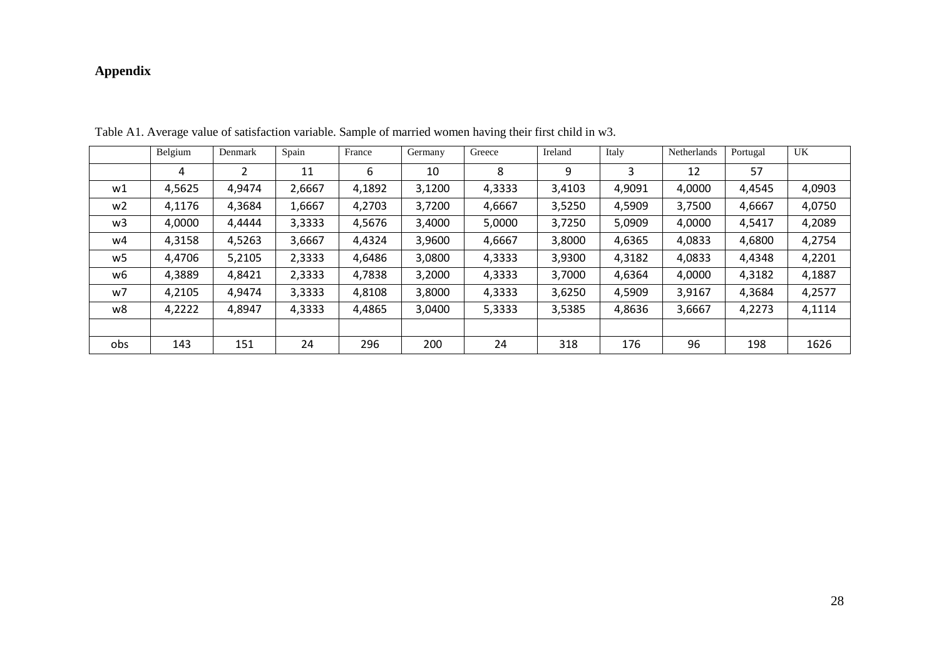# **Appendix**

<span id="page-30-0"></span>

|                | Belgium | Denmark | Spain  | France | Germany | Greece | Ireland | Italy  | Netherlands | Portugal | <b>UK</b> |
|----------------|---------|---------|--------|--------|---------|--------|---------|--------|-------------|----------|-----------|
|                | 4       | ว       | 11     | 6      | 10      | 8      | 9       | 3      | 12          | 57       |           |
| w1             | 4,5625  | 4,9474  | 2,6667 | 4,1892 | 3,1200  | 4,3333 | 3,4103  | 4,9091 | 4,0000      | 4,4545   | 4,0903    |
| w <sub>2</sub> | 4,1176  | 4,3684  | 1,6667 | 4,2703 | 3,7200  | 4,6667 | 3,5250  | 4,5909 | 3,7500      | 4,6667   | 4,0750    |
| w3             | 4,0000  | 4,4444  | 3,3333 | 4,5676 | 3,4000  | 5,0000 | 3,7250  | 5,0909 | 4,0000      | 4,5417   | 4,2089    |
| w4             | 4,3158  | 4,5263  | 3,6667 | 4,4324 | 3,9600  | 4,6667 | 3,8000  | 4,6365 | 4,0833      | 4,6800   | 4,2754    |
| w5             | 4,4706  | 5,2105  | 2,3333 | 4,6486 | 3,0800  | 4,3333 | 3,9300  | 4,3182 | 4,0833      | 4,4348   | 4,2201    |
| w6             | 4,3889  | 4,8421  | 2,3333 | 4,7838 | 3,2000  | 4,3333 | 3,7000  | 4,6364 | 4,0000      | 4,3182   | 4,1887    |
| w7             | 4,2105  | 4,9474  | 3,3333 | 4,8108 | 3,8000  | 4,3333 | 3,6250  | 4,5909 | 3,9167      | 4,3684   | 4,2577    |
| w8             | 4,2222  | 4,8947  | 4,3333 | 4,4865 | 3,0400  | 5,3333 | 3,5385  | 4,8636 | 3,6667      | 4,2273   | 4,1114    |
|                |         |         |        |        |         |        |         |        |             |          |           |
| obs            | 143     | 151     | 24     | 296    | 200     | 24     | 318     | 176    | 96          | 198      | 1626      |

Table A1. Average value of satisfaction variable. Sample of married women having their first child in w3.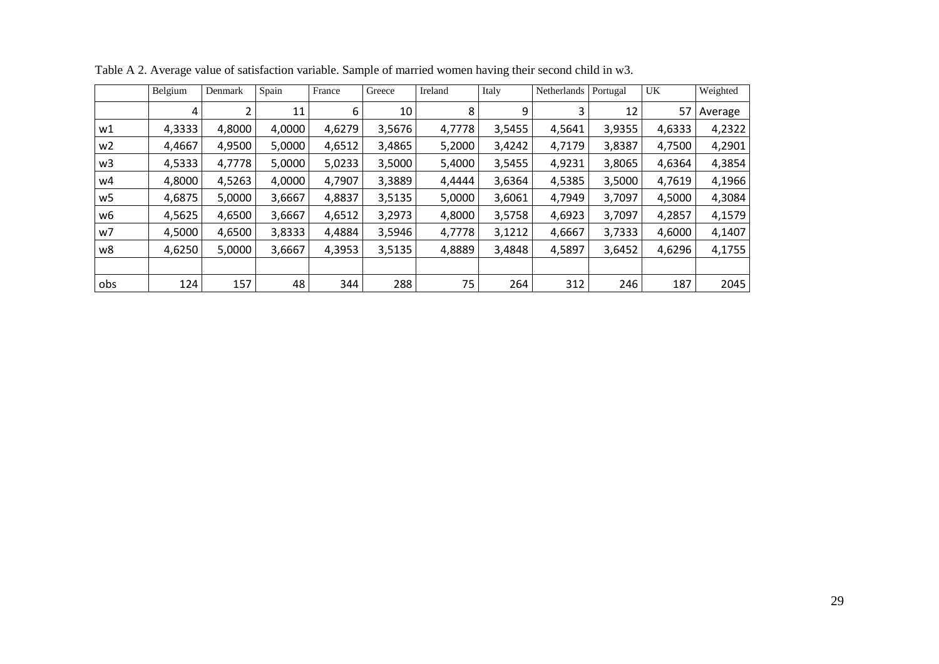|                | Belgium | Denmark | Spain  | France | Greece | Ireland | Italy  | Netherlands | Portugal | UK     | Weighted |
|----------------|---------|---------|--------|--------|--------|---------|--------|-------------|----------|--------|----------|
|                | 4       |         | 11     | 6      | 10     | 8       | 9      | 3           | 12       | 57     | Average  |
| w1             | 4,3333  | 4,8000  | 4,0000 | 4,6279 | 3,5676 | 4,7778  | 3,5455 | 4,5641      | 3,9355   | 4,6333 | 4,2322   |
| w <sub>2</sub> | 4,4667  | 4,9500  | 5,0000 | 4,6512 | 3,4865 | 5,2000  | 3,4242 | 4,7179      | 3,8387   | 4,7500 | 4,2901   |
| w <sub>3</sub> | 4,5333  | 4,7778  | 5,0000 | 5,0233 | 3,5000 | 5,4000  | 3,5455 | 4,9231      | 3,8065   | 4,6364 | 4,3854   |
| w4             | 4,8000  | 4,5263  | 4,0000 | 4,7907 | 3,3889 | 4,4444  | 3,6364 | 4,5385      | 3,5000   | 4,7619 | 4,1966   |
| w5             | 4,6875  | 5,0000  | 3,6667 | 4,8837 | 3,5135 | 5,0000  | 3,6061 | 4,7949      | 3,7097   | 4,5000 | 4,3084   |
| w6             | 4,5625  | 4,6500  | 3,6667 | 4,6512 | 3,2973 | 4,8000  | 3,5758 | 4,6923      | 3,7097   | 4,2857 | 4,1579   |
| w7             | 4,5000  | 4,6500  | 3,8333 | 4,4884 | 3,5946 | 4,7778  | 3,1212 | 4,6667      | 3,7333   | 4,6000 | 4,1407   |
| w8             | 4,6250  | 5,0000  | 3,6667 | 4,3953 | 3,5135 | 4,8889  | 3,4848 | 4,5897      | 3,6452   | 4,6296 | 4,1755   |
|                |         |         |        |        |        |         |        |             |          |        |          |
| obs            | 124     | 157     | 48     | 344    | 288    | 75      | 264    | 312         | 246      | 187    | 2045     |

Table A 2. Average value of satisfaction variable. Sample of married women having their second child in w3.